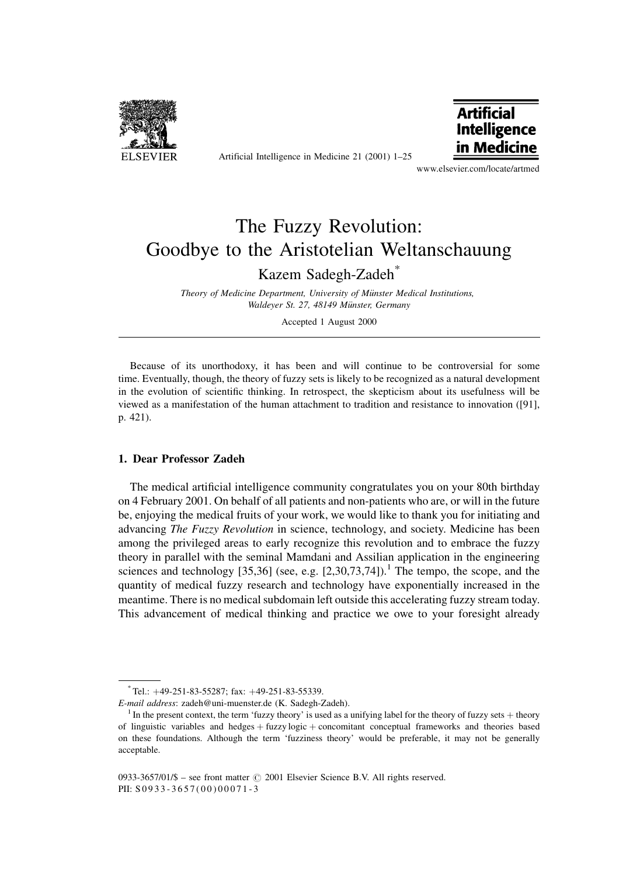

Artificial Intelligence in Medicine 21 (2001) 1-25



www.elsevier.com/locate/artmed

# The Fuzzy Revolution: Goodbye to the Aristotelian Weltanschauung Kazem Sadegh-Zadeh\*

Theory of Medicine Department, University of Münster Medical Institutions, Waldeyer St. 27, 48149 Münster, Germany

Accepted 1 August 2000

Because of its unorthodoxy, it has been and will continue to be controversial for some time. Eventually, though, the theory of fuzzy sets is likely to be recognized as a natural development in the evolution of scientific thinking. In retrospect, the skepticism about its usefulness will be viewed as a manifestation of the human attachment to tradition and resistance to innovation ([91], p. 421).

## 1. Dear Professor Zadeh

The medical artificial intelligence community congratulates you on your 80th birthday on 4 February 2001. On behalf of all patients and non-patients who are, or will in the future be, enjoying the medical fruits of your work, we would like to thank you for initiating and advancing The Fuzzy Revolution in science, technology, and society. Medicine has been among the privileged areas to early recognize this revolution and to embrace the fuzzy theory in parallel with the seminal Mamdani and Assilian application in the engineering sciences and technology  $[35,36]$  (see, e.g.  $[2,30,73,74]$ ).<sup>1</sup> The tempo, the scope, and the quantity of medical fuzzy research and technology have exponentially increased in the meantime. There is no medical subdomain left outside this accelerating fuzzy stream today. This advancement of medical thinking and practice we owe to your foresight already

 $*$ Tel.:  $+49-251-83-55287$ ; fax:  $+49-251-83-55339$ .

E-mail address: zadeh@uni-muenster.de (K. Sadegh-Zadeh).

 $1$  In the present context, the term 'fuzzy theory' is used as a unifying label for the theory of fuzzy sets  $+$  theory of linguistic variables and hedges  $+$  fuzzy logic  $+$  concomitant conceptual frameworks and theories based on these foundations. Although the term `fuzziness theory' would be preferable, it may not be generally acceptable.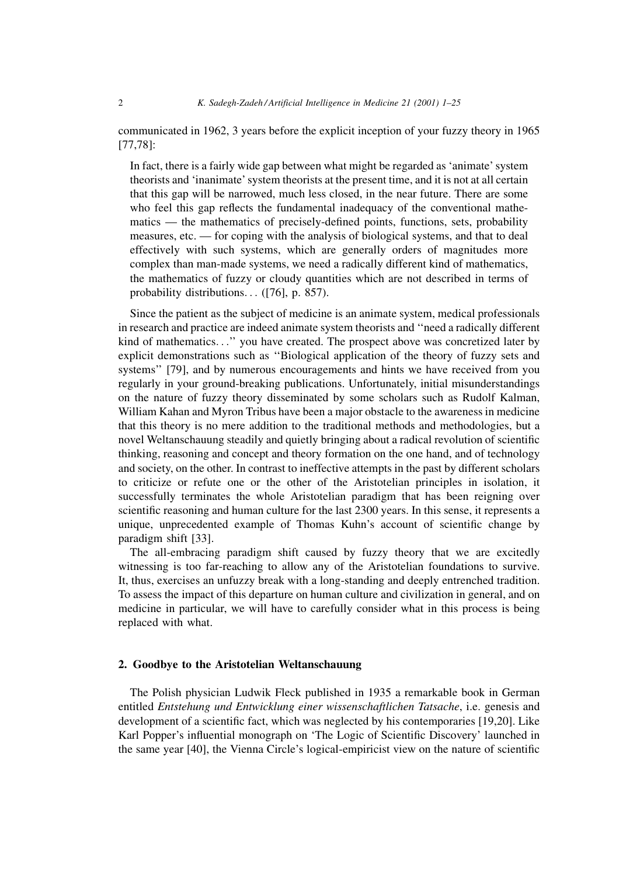communicated in 1962, 3 years before the explicit inception of your fuzzy theory in 1965 [77,78]:

In fact, there is a fairly wide gap between what might be regarded as `animate' system theorists and `inanimate' system theorists at the present time, and it is not at all certain that this gap will be narrowed, much less closed, in the near future. There are some who feel this gap reflects the fundamental inadequacy of the conventional mathematics — the mathematics of precisely-defined points, functions, sets, probability measures, etc. — for coping with the analysis of biological systems, and that to deal effectively with such systems, which are generally orders of magnitudes more complex than man-made systems, we need a radically different kind of mathematics, the mathematics of fuzzy or cloudy quantities which are not described in terms of probability distributions... ([76], p. 857).

Since the patient as the subject of medicine is an animate system, medical professionals in research and practice are indeed animate system theorists and "need a radically different kind of mathematics...'' you have created. The prospect above was concretized later by explicit demonstrations such as "Biological application of the theory of fuzzy sets and systems'' [79], and by numerous encouragements and hints we have received from you regularly in your ground-breaking publications. Unfortunately, initial misunderstandings on the nature of fuzzy theory disseminated by some scholars such as Rudolf Kalman, William Kahan and Myron Tribus have been a major obstacle to the awareness in medicine that this theory is no mere addition to the traditional methods and methodologies, but a novel Weltanschauung steadily and quietly bringing about a radical revolution of scientific thinking, reasoning and concept and theory formation on the one hand, and of technology and society, on the other. In contrast to ineffective attempts in the past by different scholars to criticize or refute one or the other of the Aristotelian principles in isolation, it successfully terminates the whole Aristotelian paradigm that has been reigning over scientific reasoning and human culture for the last 2300 years. In this sense, it represents a unique, unprecedented example of Thomas Kuhn's account of scientific change by paradigm shift [33].

The all-embracing paradigm shift caused by fuzzy theory that we are excitedly witnessing is too far-reaching to allow any of the Aristotelian foundations to survive. It, thus, exercises an unfuzzy break with a long-standing and deeply entrenched tradition. To assess the impact of this departure on human culture and civilization in general, and on medicine in particular, we will have to carefully consider what in this process is being replaced with what.

#### 2. Goodbye to the Aristotelian Weltanschauung

The Polish physician Ludwik Fleck published in 1935 a remarkable book in German entitled Entstehung und Entwicklung einer wissenschaftlichen Tatsache, i.e. genesis and development of a scientific fact, which was neglected by his contemporaries  $[19,20]$ . Like Karl Popper's influential monograph on 'The Logic of Scientific Discovery' launched in the same year  $[40]$ , the Vienna Circle's logical-empiricist view on the nature of scientific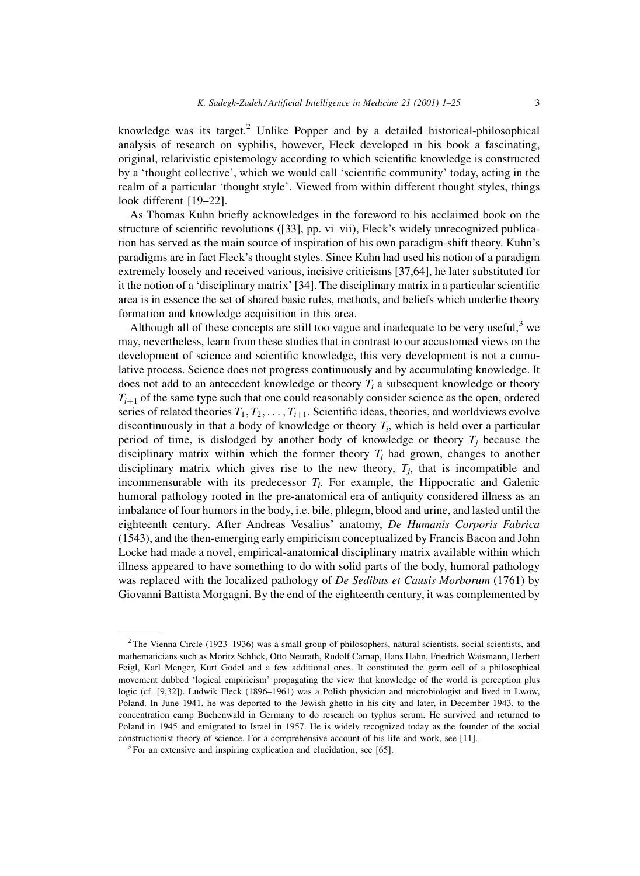knowledge was its target.<sup>2</sup> Unlike Popper and by a detailed historical-philosophical analysis of research on syphilis, however, Fleck developed in his book a fascinating, original, relativistic epistemology according to which scientific knowledge is constructed by a 'thought collective', which we would call 'scientific community' today, acting in the realm of a particular `thought style'. Viewed from within different thought styles, things look different [19-22].

As Thomas Kuhn briefly acknowledges in the foreword to his acclaimed book on the structure of scientific revolutions ( $[33]$ , pp. vi-vii), Fleck's widely unrecognized publication has served as the main source of inspiration of his own paradigm-shift theory. Kuhn's paradigms are in fact Fleck's thought styles. Since Kuhn had used his notion of a paradigm extremely loosely and received various, incisive criticisms [37,64], he later substituted for it the notion of a 'disciplinary matrix'  $[34]$ . The disciplinary matrix in a particular scientific area is in essence the set of shared basic rules, methods, and beliefs which underlie theory formation and knowledge acquisition in this area.

Although all of these concepts are still too vague and inadequate to be very useful. $3$  we may, nevertheless, learn from these studies that in contrast to our accustomed views on the development of science and scientific knowledge, this very development is not a cumulative process. Science does not progress continuously and by accumulating knowledge. It does not add to an antecedent knowledge or theory  $T_i$  a subsequent knowledge or theory  $T_{i+1}$  of the same type such that one could reasonably consider science as the open, ordered series of related theories  $T_1, T_2, \ldots, T_{i+1}$ . Scientific ideas, theories, and worldviews evolve discontinuously in that a body of knowledge or theory  $T_i$ , which is held over a particular period of time, is dislodged by another body of knowledge or theory  $T_i$  because the disciplinary matrix within which the former theory  $T_i$  had grown, changes to another disciplinary matrix which gives rise to the new theory,  $T_i$ , that is incompatible and incommensurable with its predecessor  $T_i$ . For example, the Hippocratic and Galenic humoral pathology rooted in the pre-anatomical era of antiquity considered illness as an imbalance of four humors in the body, i.e. bile, phlegm, blood and urine, and lasted until the eighteenth century. After Andreas Vesalius' anatomy, De Humanis Corporis Fabrica (1543), and the then-emerging early empiricism conceptualized by Francis Bacon and John Locke had made a novel, empirical-anatomical disciplinary matrix available within which illness appeared to have something to do with solid parts of the body, humoral pathology was replaced with the localized pathology of De Sedibus et Causis Morborum (1761) by Giovanni Battista Morgagni. By the end of the eighteenth century, it was complemented by

 $2$ The Vienna Circle (1923-1936) was a small group of philosophers, natural scientists, social scientists, and mathematicians such as Moritz Schlick, Otto Neurath, Rudolf Carnap, Hans Hahn, Friedrich Waismann, Herbert Feigl, Karl Menger, Kurt Gödel and a few additional ones. It constituted the germ cell of a philosophical movement dubbed 'logical empiricism' propagating the view that knowledge of the world is perception plus logic (cf. [9,32]). Ludwik Fleck (1896-1961) was a Polish physician and microbiologist and lived in Lwow, Poland. In June 1941, he was deported to the Jewish ghetto in his city and later, in December 1943, to the concentration camp Buchenwald in Germany to do research on typhus serum. He survived and returned to Poland in 1945 and emigrated to Israel in 1957. He is widely recognized today as the founder of the social constructionist theory of science. For a comprehensive account of his life and work, see [11]. <sup>3</sup> For an extensive and inspiring explication and elucidation, see [65].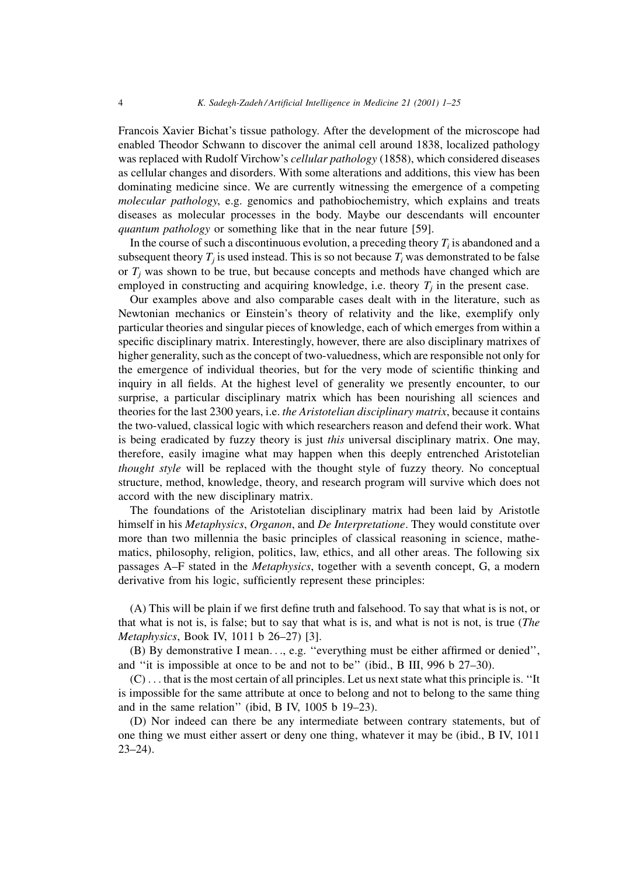Francois Xavier Bichat's tissue pathology. After the development of the microscope had enabled Theodor Schwann to discover the animal cell around 1838, localized pathology was replaced with Rudolf Virchow's *cellular pathology* (1858), which considered diseases as cellular changes and disorders. With some alterations and additions, this view has been dominating medicine since. We are currently witnessing the emergence of a competing molecular pathology, e.g. genomics and pathobiochemistry, which explains and treats diseases as molecular processes in the body. Maybe our descendants will encounter quantum pathology or something like that in the near future [59].

In the course of such a discontinuous evolution, a preceding theory  $T_i$  is abandoned and a subsequent theory  $T_i$  is used instead. This is so not because  $T_i$  was demonstrated to be false or  $T_i$  was shown to be true, but because concepts and methods have changed which are employed in constructing and acquiring knowledge, i.e. theory  $T_i$  in the present case.

Our examples above and also comparable cases dealt with in the literature, such as Newtonian mechanics or Einstein's theory of relativity and the like, exemplify only particular theories and singular pieces of knowledge, each of which emerges from within a specific disciplinary matrix. Interestingly, however, there are also disciplinary matrixes of higher generality, such as the concept of two-valuedness, which are responsible not only for the emergence of individual theories, but for the very mode of scientific thinking and inquiry in all fields. At the highest level of generality we presently encounter, to our surprise, a particular disciplinary matrix which has been nourishing all sciences and theories for the last 2300 years, i.e. the Aristotelian disciplinary matrix, because it contains the two-valued, classical logic with which researchers reason and defend their work. What is being eradicated by fuzzy theory is just *this* universal disciplinary matrix. One may, therefore, easily imagine what may happen when this deeply entrenched Aristotelian thought style will be replaced with the thought style of fuzzy theory. No conceptual structure, method, knowledge, theory, and research program will survive which does not accord with the new disciplinary matrix.

The foundations of the Aristotelian disciplinary matrix had been laid by Aristotle himself in his Metaphysics, Organon, and De Interpretatione. They would constitute over more than two millennia the basic principles of classical reasoning in science, mathematics, philosophy, religion, politics, law, ethics, and all other areas. The following six passages A–F stated in the *Metaphysics*, together with a seventh concept, G, a modern derivative from his logic, sufficiently represent these principles:

 $(A)$  This will be plain if we first define truth and falsehood. To say that what is is not, or that what is not is, is false; but to say that what is is, and what is not is not, is true (The *Metaphysics*, Book IV, 1011 b  $26-27$  [3].

(B) By demonstrative I mean..., e.g. "everything must be either affirmed or denied", and "it is impossible at once to be and not to be" (ibid., B III,  $996$  b  $27-30$ ).

(C) ... that is the most certain of all principles. Let us next state what this principle is. ``It is impossible for the same attribute at once to belong and not to belong to the same thing and in the same relation" (ibid, B IV,  $1005$  b  $19-23$ ).

(D) Nor indeed can there be any intermediate between contrary statements, but of one thing we must either assert or deny one thing, whatever it may be (ibid., B IV, 1011  $23 - 24$ ).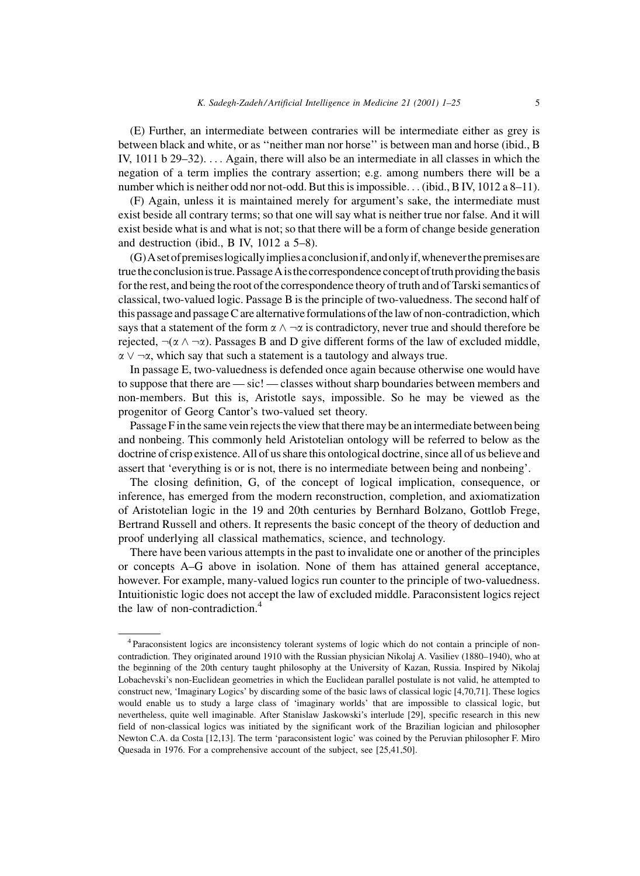(E) Further, an intermediate between contraries will be intermediate either as grey is between black and white, or as ``neither man nor horse'' is between man and horse (ibid., B IV,  $1011$  b  $29-32)$ .... Again, there will also be an intermediate in all classes in which the negation of a term implies the contrary assertion; e.g. among numbers there will be a number which is neither odd nor not-odd. But this is impossible... (ibid.,  $\overline{B}$  IV, 1012 a 8–11).

(F) Again, unless it is maintained merely for argument's sake, the intermediate must exist beside all contrary terms; so that one will say what is neither true nor false. And it will exist beside what is and what is not; so that there will be a form of change beside generation and destruction (ibid., B IV,  $1012$  a  $5-8$ ).

 $(G)$ A set of premises logically implies a conclusion if, and only if, whenever the premises are true the conclusion is true. Passage A is the correspondence concept of truth providing the basis for the rest, and being the root of the correspondence theory of truth and of Tarski semantics of classical, two-valued logic. Passage B is the principle of two-valuedness. The second half of this passage and passage C are alternative formulations ofthelaw of non-contradiction, which says that a statement of the form  $\alpha \wedge \neg \alpha$  is contradictory, never true and should therefore be rejected,  $\neg(\alpha \land \neg \alpha)$ . Passages B and D give different forms of the law of excluded middle,  $\alpha \vee \neg \alpha$ , which say that such a statement is a tautology and always true.

In passage E, two-valuedness is defended once again because otherwise one would have to suppose that there are  $\frac{-\text{sic}!}{\text{classes without sharp boundaries between members and}}$ non-members. But this is, Aristotle says, impossible. So he may be viewed as the progenitor of Georg Cantor's two-valued set theory.

Passage F in the same vein rejects the view that there may be an intermediate between being and nonbeing. This commonly held Aristotelian ontology will be referred to below as the doctrine of crisp existence. All of us share this ontological doctrine, since all of us believe and assert that `everything is or is not, there is no intermediate between being and nonbeing'.

The closing definition, G, of the concept of logical implication, consequence, or inference, has emerged from the modern reconstruction, completion, and axiomatization of Aristotelian logic in the 19 and 20th centuries by Bernhard Bolzano, Gottlob Frege, Bertrand Russell and others. It represents the basic concept of the theory of deduction and proof underlying all classical mathematics, science, and technology.

There have been various attempts in the past to invalidate one or another of the principles or concepts A±G above in isolation. None of them has attained general acceptance, however. For example, many-valued logics run counter to the principle of two-valuedness. Intuitionistic logic does not accept the law of excluded middle. Paraconsistent logics reject the law of non-contradiction.<sup>4</sup>

<sup>4</sup> Paraconsistent logics are inconsistency tolerant systems of logic which do not contain a principle of noncontradiction. They originated around 1910 with the Russian physician Nikolaj A. Vasiliev (1880–1940), who at the beginning of the 20th century taught philosophy at the University of Kazan, Russia. Inspired by Nikolaj Lobachevski's non-Euclidean geometries in which the Euclidean parallel postulate is not valid, he attempted to construct new, 'Imaginary Logics' by discarding some of the basic laws of classical logic [4,70,71]. These logics would enable us to study a large class of `imaginary worlds' that are impossible to classical logic, but nevertheless, quite well imaginable. After Stanislaw Jaskowski's interlude [29], specific research in this new field of non-classical logics was initiated by the significant work of the Brazilian logician and philosopher Newton C.A. da Costa [12,13]. The term 'paraconsistent logic' was coined by the Peruvian philosopher F. Miro Quesada in 1976. For a comprehensive account of the subject, see [25,41,50].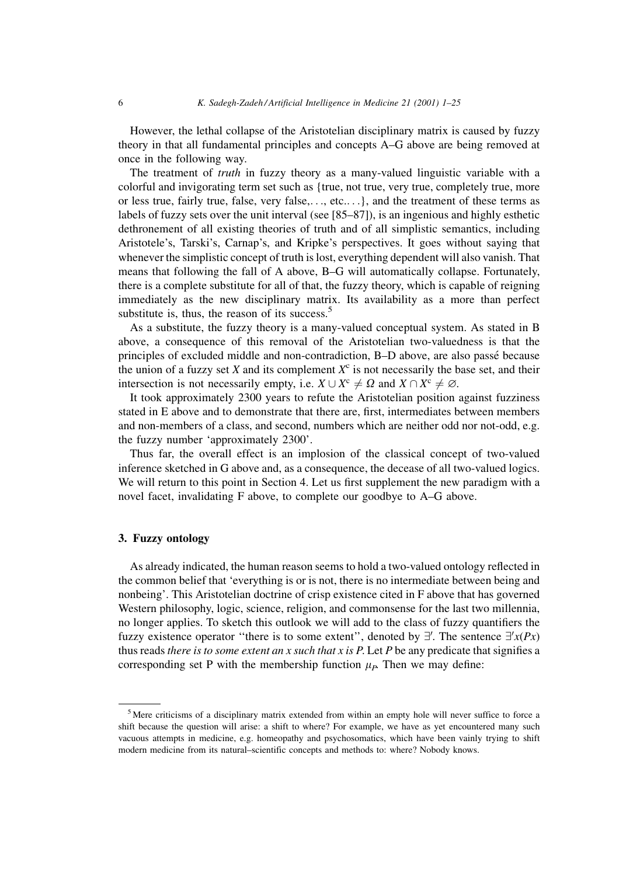However, the lethal collapse of the Aristotelian disciplinary matrix is caused by fuzzy theory in that all fundamental principles and concepts A–G above are being removed at once in the following way.

The treatment of truth in fuzzy theory as a many-valued linguistic variable with a colorful and invigorating term set such as {true, not true, very true, completely true, more or less true, fairly true, false, very false,..., etc....}, and the treatment of these terms as labels of fuzzy sets over the unit interval (see  $[85-87]$ ), is an ingenious and highly esthetic dethronement of all existing theories of truth and of all simplistic semantics, including Aristotele's, Tarski's, Carnap's, and Kripke's perspectives. It goes without saying that whenever the simplistic concept of truth is lost, everything dependent will also vanish. That means that following the fall of A above, B-G will automatically collapse. Fortunately, there is a complete substitute for all of that, the fuzzy theory, which is capable of reigning immediately as the new disciplinary matrix. Its availability as a more than perfect substitute is, thus, the reason of its success. $<sup>5</sup>$ </sup>

As a substitute, the fuzzy theory is a many-valued conceptual system. As stated in B above, a consequence of this removal of the Aristotelian two-valuedness is that the principles of excluded middle and non-contradiction, B-D above, are also passé because the union of a fuzzy set X and its complement  $X<sup>c</sup>$  is not necessarily the base set, and their intersection is not necessarily empty, i.e.  $X \cup X^c \neq \Omega$  and  $X \cap X^c \neq \emptyset$ .

It took approximately 2300 years to refute the Aristotelian position against fuzziness stated in E above and to demonstrate that there are, first, intermediates between members and non-members of a class, and second, numbers which are neither odd nor not-odd, e.g. the fuzzy number `approximately 2300'.

Thus far, the overall effect is an implosion of the classical concept of two-valued inference sketched in G above and, as a consequence, the decease of all two-valued logics. We will return to this point in Section 4. Let us first supplement the new paradigm with a novel facet, invalidating  $F$  above, to complete our goodbye to  $A-G$  above.

#### 3. Fuzzy ontology

As already indicated, the human reason seems to hold a two-valued ontology reflected in the common belief that `everything is or is not, there is no intermediate between being and nonbeing'. This Aristotelian doctrine of crisp existence cited in F above that has governed Western philosophy, logic, science, religion, and commonsense for the last two millennia, no longer applies. To sketch this outlook we will add to the class of fuzzy quantifiers the fuzzy existence operator "there is to some extent", denoted by  $\exists'$ . The sentence  $\exists' x(Px)$ thus reads there is to some extent an x such that x is  $P$ . Let  $P$  be any predicate that signifies a corresponding set P with the membership function  $\mu_P$ . Then we may define:

<sup>5</sup> Mere criticisms of a disciplinary matrix extended from within an empty hole will never suffice to force a shift because the question will arise: a shift to where? For example, we have as yet encountered many such vacuous attempts in medicine, e.g. homeopathy and psychosomatics, which have been vainly trying to shift modern medicine from its natural-scientific concepts and methods to: where? Nobody knows.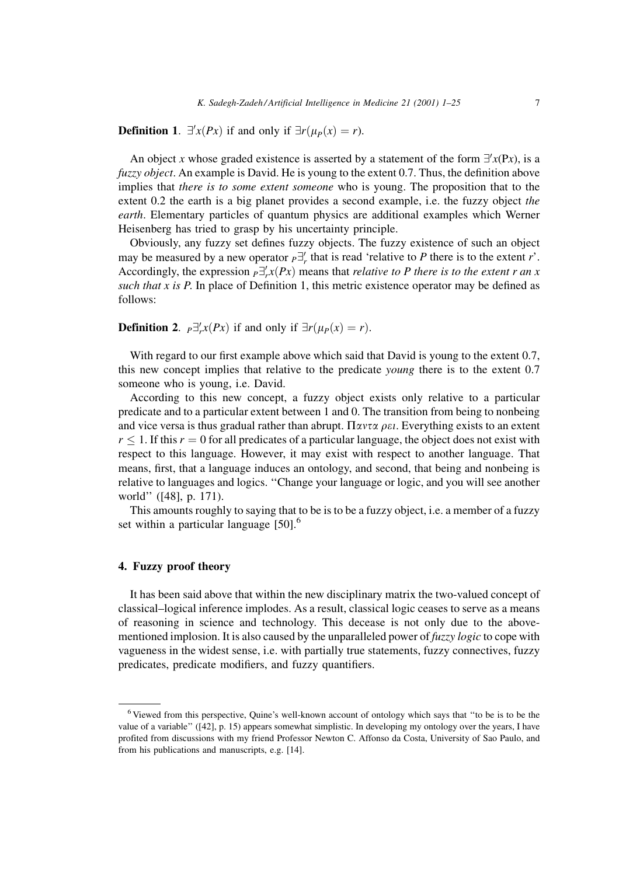**Definition 1.**  $\exists x(Px)$  if and only if  $\exists r(\mu_P(x) = r)$ .

An object x whose graded existence is asserted by a statement of the form  $\exists x(Px)$ , is a  $fuzzy object$ . An example is David. He is young to the extent 0.7. Thus, the definition above implies that there is to some extent someone who is young. The proposition that to the extent 0.2 the earth is a big planet provides a second example, i.e. the fuzzy object the earth. Elementary particles of quantum physics are additional examples which Werner Heisenberg has tried to grasp by his uncertainty principle.

Obviously, any fuzzy set defines fuzzy objects. The fuzzy existence of such an object may be measured by a new operator  $P^{\perp}$  that is read 'relative to P there is to the extent r'. Accordingly, the expression  $P^{\exists'}_{r}x(Px)$  means that *relative to P there is to the extent r an x* such that x is P. In place of Definition 1, this metric existence operator may be defined as follows:

**Definition 2.**  $P\exists r \in P \mathcal{F}(Px)$  if and only if  $\exists r(\mu_P(x) = r)$ .

With regard to our first example above which said that David is young to the extent 0.7, this new concept implies that relative to the predicate young there is to the extent 0.7 someone who is young, i.e. David.

According to this new concept, a fuzzy object exists only relative to a particular predicate and to a particular extent between 1 and 0. The transition from being to nonbeing and vice versa is thus gradual rather than abrupt.  $\Pi \alpha v \tau \alpha \rho \epsilon i$ . Everything exists to an extent  $r < 1$ . If this  $r = 0$  for all predicates of a particular language, the object does not exist with respect to this language. However, it may exist with respect to another language. That means, first, that a language induces an ontology, and second, that being and nonbeing is relative to languages and logics. "Change your language or logic, and you will see another world'' ([48], p. 171).

This amounts roughly to saying that to be is to be a fuzzy object, i.e. a member of a fuzzy set within a particular language [50].<sup>6</sup>

# 4. Fuzzy proof theory

It has been said above that within the new disciplinary matrix the two-valued concept of classical–logical inference implodes. As a result, classical logic ceases to serve as a means of reasoning in science and technology. This decease is not only due to the abovementioned implosion. It is also caused by the unparalleled power of *fuzzy logic* to cope with vagueness in the widest sense, i.e. with partially true statements, fuzzy connectives, fuzzy predicates, predicate modifiers, and fuzzy quantifiers.

<sup>&</sup>lt;sup>6</sup> Viewed from this perspective, Quine's well-known account of ontology which says that "to be is to be the value of a variable'' ([42], p. 15) appears somewhat simplistic. In developing my ontology over the years, I have profited from discussions with my friend Professor Newton C. Affonso da Costa, University of Sao Paulo, and from his publications and manuscripts, e.g. [14].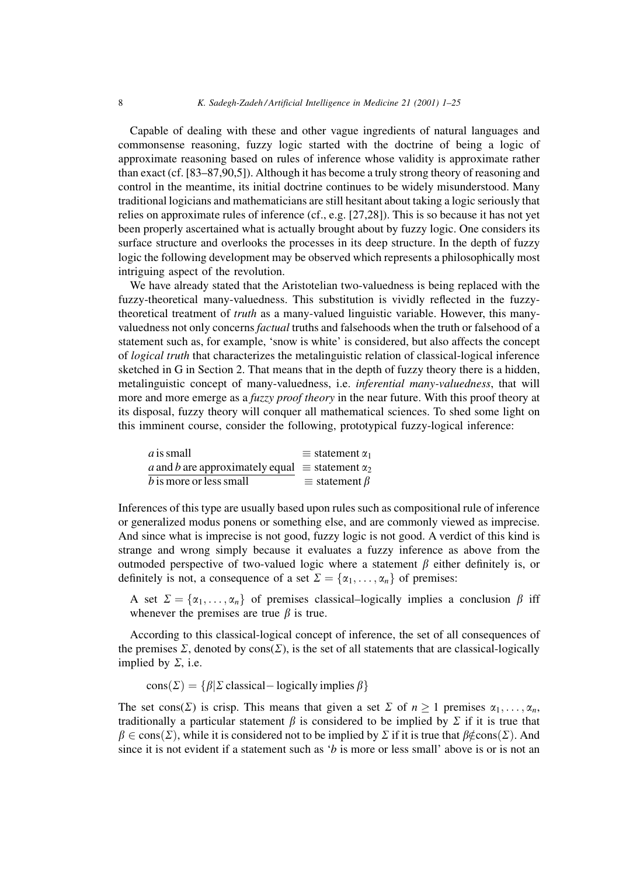Capable of dealing with these and other vague ingredients of natural languages and commonsense reasoning, fuzzy logic started with the doctrine of being a logic of approximate reasoning based on rules of inference whose validity is approximate rather than exact (cf. [83–87,90,5]). Although it has become a truly strong theory of reasoning and control in the meantime, its initial doctrine continues to be widely misunderstood. Many traditional logicians and mathematicians are still hesitant about taking a logic seriously that relies on approximate rules of inference (cf., e.g. [27,28]). This is so because it has not yet been properly ascertained what is actually brought about by fuzzy logic. One considers its surface structure and overlooks the processes in its deep structure. In the depth of fuzzy logic the following development may be observed which represents a philosophically most intriguing aspect of the revolution.

We have already stated that the Aristotelian two-valuedness is being replaced with the fuzzy-theoretical many-valuedness. This substitution is vividly reflected in the fuzzytheoretical treatment of *truth* as a many-valued linguistic variable. However, this manyvaluedness not only concerns factual truths and falsehoods when the truth or falsehood of a statement such as, for example, `snow is white' is considered, but also affects the concept of logical truth that characterizes the metalinguistic relation of classical-logical inference sketched in G in Section 2. That means that in the depth of fuzzy theory there is a hidden, metalinguistic concept of many-valuedness, i.e. inferential many-valuedness, that will more and more emerge as a *fuzzy proof theory* in the near future. With this proof theory at its disposal, fuzzy theory will conquer all mathematical sciences. To shed some light on this imminent course, consider the following, prototypical fuzzy-logical inference:

| <i>a</i> is small                                             | $\equiv$ statement $\alpha_1$ |
|---------------------------------------------------------------|-------------------------------|
| a and b are approximately equal $\equiv$ statement $\alpha_2$ |                               |
| <i>b</i> is more or less small                                | $\equiv$ statement $\beta$    |

Inferences of this type are usually based upon rules such as compositional rule of inference or generalized modus ponens or something else, and are commonly viewed as imprecise. And since what is imprecise is not good, fuzzy logic is not good. A verdict of this kind is strange and wrong simply because it evaluates a fuzzy inference as above from the outmoded perspective of two-valued logic where a statement  $\beta$  either definitely is, or definitely is not, a consequence of a set  $\Sigma = {\alpha_1, \dots, \alpha_n}$  of premises:

A set  $\Sigma = {\alpha_1, \ldots, \alpha_n}$  of premises classical-logically implies a conclusion  $\beta$  iff whenever the premises are true  $\beta$  is true.

According to this classical-logical concept of inference, the set of all consequences of the premises  $\Sigma$ , denoted by cons( $\Sigma$ ), is the set of all statements that are classical-logically implied by  $\Sigma$ , i.e.

 $cons(\Sigma) = {\beta|\Sigma \text{ classical}-\text{logically implies }\beta}$ 

The set cons( $\Sigma$ ) is crisp. This means that given a set  $\Sigma$  of  $n \ge 1$  premises  $\alpha_1, \ldots, \alpha_n$ , traditionally a particular statement  $\beta$  is considered to be implied by  $\Sigma$  if it is true that  $\beta \in \text{cons}(\Sigma)$ , while it is considered not to be implied by  $\Sigma$  if it is true that  $\beta \notin \text{cons}(\Sigma)$ . And since it is not evident if a statement such as  $b$  is more or less small' above is or is not an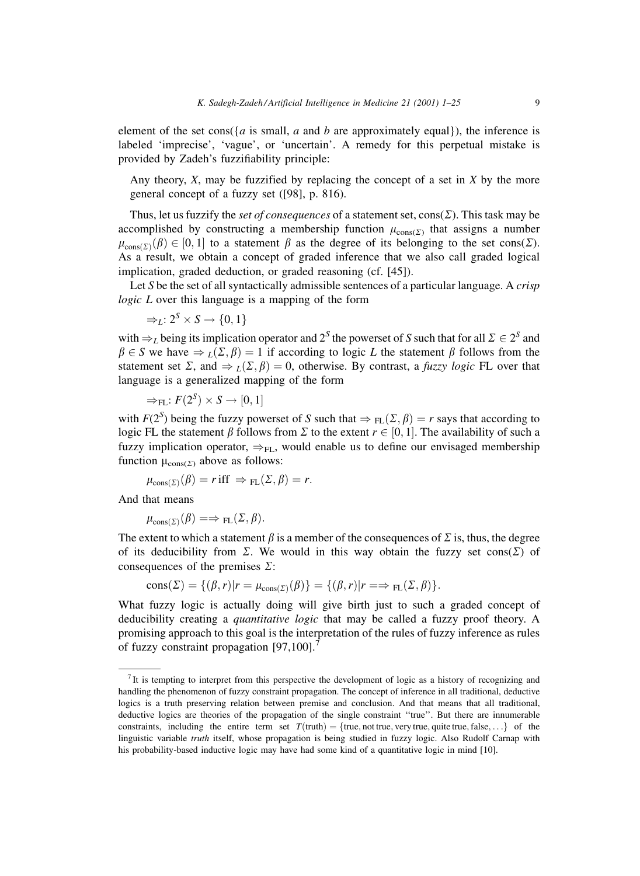element of the set cons( $\{a \text{ is small}, a \text{ and } b \text{ are approximately equal}\}$ ), the inference is labeled 'imprecise', 'vague', or 'uncertain'. A remedy for this perpetual mistake is provided by Zadeh's fuzzifiability principle:

Any theory,  $X$ , may be fuzzified by replacing the concept of a set in  $X$  by the more general concept of a fuzzy set ([98], p. 816).

Thus, let us fuzzify the *set of consequences* of a statement set,  $\cos(\Sigma)$ . This task may be accomplished by constructing a membership function  $\mu_{cons(\Sigma)}$  that assigns a number  $\mu_{cons(\Sigma)}(\beta) \in [0,1]$  to a statement  $\beta$  as the degree of its belonging to the set cons( $\Sigma$ ). As a result, we obtain a concept of graded inference that we also call graded logical implication, graded deduction, or graded reasoning (cf. [45]).

Let S be the set of all syntactically admissible sentences of a particular language. A *crisp* logic L over this language is a mapping of the form

$$
\Rightarrow_L: 2^S \times S \rightarrow \{0, 1\}
$$

with  $\Rightarrow_L$  being its implication operator and  $2^S$  the powerset of S such that for all  $\Sigma \in 2^S$  and  $\beta \in S$  we have  $\Rightarrow$   $_L(\Sigma, \beta) = 1$  if according to logic L the statement  $\beta$  follows from the statement set  $\Sigma$ , and  $\Rightarrow$   $_L(\Sigma, \beta) = 0$ , otherwise. By contrast, a fuzzy logic FL over that language is a generalized mapping of the form

$$
\Rightarrow_{\mathrm{FL}}: F(2^S) \times S \to [0,1]
$$

with  $F(2^S)$  being the fuzzy powerset of S such that  $\Rightarrow$   $_{FL}(\Sigma, \beta) = r$  says that according to logic FL the statement  $\beta$  follows from  $\Sigma$  to the extent  $r \in [0, 1]$ . The availability of such a fuzzy implication operator,  $\Rightarrow_{FI}$ , would enable us to define our envisaged membership function  $\mu_{cons(\Sigma)}$  above as follows:

$$
\mu_{\text{cons}(\Sigma)}(\beta) = r \text{ iff } \Rightarrow_{\text{FL}}(\Sigma, \beta) = r.
$$

And that means

$$
\mu_{\text{cons}(\Sigma)}(\beta) \Longrightarrow_{\text{FL}}(\Sigma, \beta).
$$

The extent to which a statement  $\beta$  is a member of the consequences of  $\Sigma$  is, thus, the degree of its deducibility from  $\Sigma$ . We would in this way obtain the fuzzy set cons( $\Sigma$ ) of consequences of the premises  $\Sigma$ :

$$
cons(\Sigma) = \{(\beta, r)|r = \mu_{cons(\Sigma)}(\beta)\} = \{(\beta, r)|r \Longrightarrow_{FL}(\Sigma, \beta)\}.
$$

What fuzzy logic is actually doing will give birth just to such a graded concept of deducibility creating a *quantitative logic* that may be called a fuzzy proof theory. A promising approach to this goal is the interpretation of the rules of fuzzy inference as rules of fuzzy constraint propagation [97,100].

<sup>&</sup>lt;sup>7</sup>It is tempting to interpret from this perspective the development of logic as a history of recognizing and handling the phenomenon of fuzzy constraint propagation. The concept of inference in all traditional, deductive logics is a truth preserving relation between premise and conclusion. And that means that all traditional, deductive logics are theories of the propagation of the single constraint "true". But there are innumerable constraints, including the entire term set  $T(\text{truth}) = \{\text{true}, \text{not true}, \text{very true}, \text{quite true}, \text{false}, \ldots\}$  of the linguistic variable truth itself, whose propagation is being studied in fuzzy logic. Also Rudolf Carnap with his probability-based inductive logic may have had some kind of a quantitative logic in mind [10].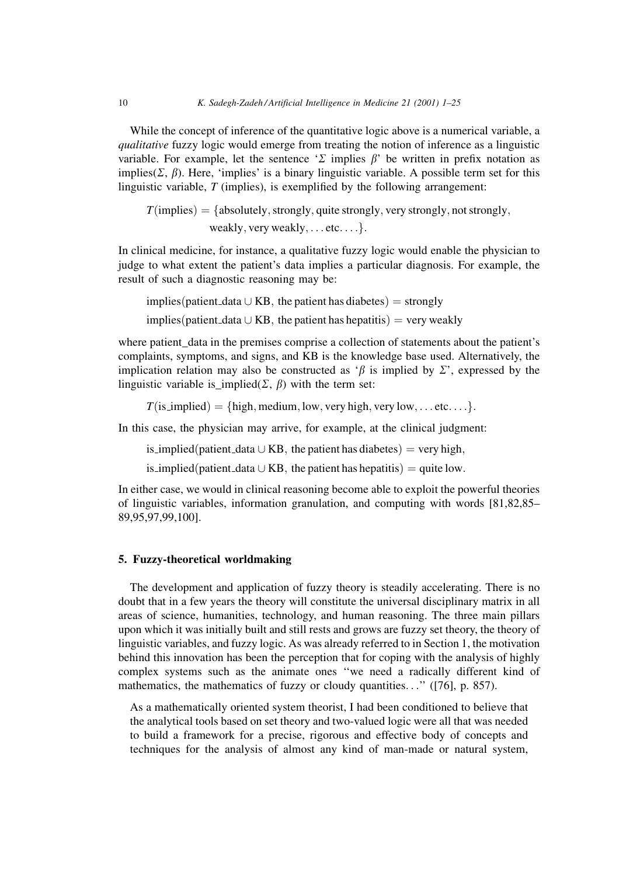While the concept of inference of the quantitative logic above is a numerical variable, a qualitative fuzzy logic would emerge from treating the notion of inference as a linguistic variable. For example, let the sentence ' $\Sigma$  implies  $\beta$ ' be written in prefix notation as implies( $\Sigma$ ,  $\beta$ ). Here, 'implies' is a binary linguistic variable. A possible term set for this linguistic variable,  $T$  (implies), is exemplified by the following arrangement:

 $T$ (implies) = {absolutely, strongly, quite strongly, very strongly, not strongly, weakly, very weakly,  $\dots$  etc $\dots$ }.

In clinical medicine, for instance, a qualitative fuzzy logic would enable the physician to judge to what extent the patient's data implies a particular diagnosis. For example, the result of such a diagnostic reasoning may be:

```
implies (patient data \cup KB, the patient has diabetes) = strongly
```
implies (patient data  $\cup$  KB, the patient has hepatitis  $\rangle$  = very weakly

where patient\_data in the premises comprise a collection of statements about the patient's complaints, symptoms, and signs, and KB is the knowledge base used. Alternatively, the implication relation may also be constructed as ' $\beta$  is implied by  $\Sigma$ ', expressed by the linguistic variable is\_implied( $\Sigma$ ,  $\beta$ ) with the term set:

 $T(i s$ -implied) = {high, medium, low, very high, very low, ... etc...}.

In this case, the physician may arrive, for example, at the clinical judgment:

is implied (patient data  $\cup$  KB, the patient has diabetes) = very high,

is implied (patient data  $\cup$  KB, the patient has hepatitis) = quite low.

In either case, we would in clinical reasoning become able to exploit the powerful theories of linguistic variables, information granulation, and computing with words  $[81,82,85-$ 89,95,97,99,100].

## 5. Fuzzy-theoretical worldmaking

The development and application of fuzzy theory is steadily accelerating. There is no doubt that in a few years the theory will constitute the universal disciplinary matrix in all areas of science, humanities, technology, and human reasoning. The three main pillars upon which it was initially built and still rests and grows are fuzzy set theory, the theory of linguistic variables, and fuzzy logic. As was already referred to in Section 1, the motivation behind this innovation has been the perception that for coping with the analysis of highly complex systems such as the animate ones "we need a radically different kind of mathematics, the mathematics of fuzzy or cloudy quantities..." ([76], p. 857).

As a mathematically oriented system theorist, I had been conditioned to believe that the analytical tools based on set theory and two-valued logic were all that was needed to build a framework for a precise, rigorous and effective body of concepts and techniques for the analysis of almost any kind of man-made or natural system,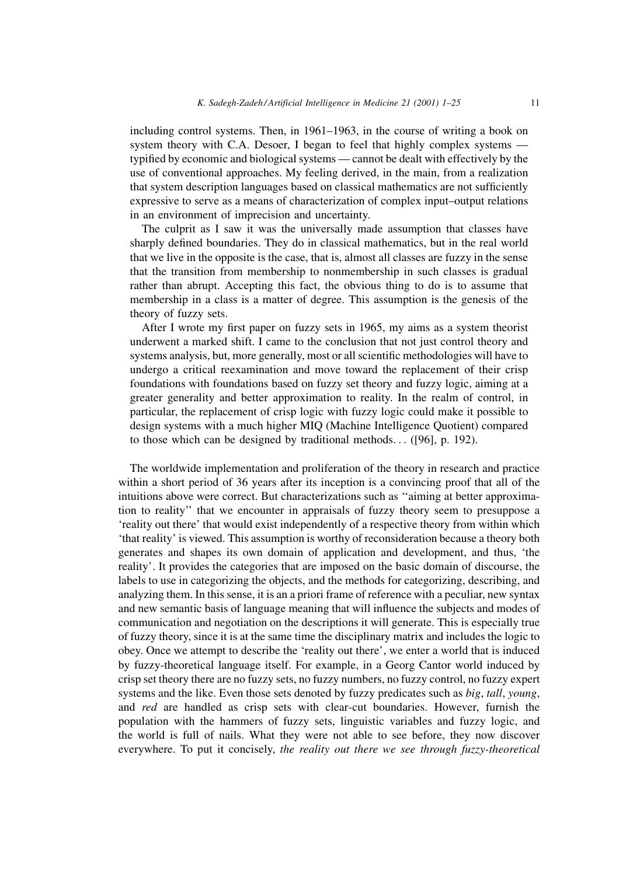including control systems. Then, in  $1961-1963$ , in the course of writing a book on system theory with C.A. Desoer, I began to feel that highly complex systems  $-\frac{1}{2}$ typified by economic and biological systems — cannot be dealt with effectively by the use of conventional approaches. My feeling derived, in the main, from a realization that system description languages based on classical mathematics are not sufficiently expressive to serve as a means of characterization of complex input—output relations in an environment of imprecision and uncertainty.

The culprit as I saw it was the universally made assumption that classes have sharply defined boundaries. They do in classical mathematics, but in the real world that we live in the opposite is the case, that is, almost all classes are fuzzy in the sense that the transition from membership to nonmembership in such classes is gradual rather than abrupt. Accepting this fact, the obvious thing to do is to assume that membership in a class is a matter of degree. This assumption is the genesis of the theory of fuzzy sets.

After I wrote my first paper on fuzzy sets in 1965, my aims as a system theorist underwent a marked shift. I came to the conclusion that not just control theory and systems analysis, but, more generally, most or all scientific methodologies will have to undergo a critical reexamination and move toward the replacement of their crisp foundations with foundations based on fuzzy set theory and fuzzy logic, aiming at a greater generality and better approximation to reality. In the realm of control, in particular, the replacement of crisp logic with fuzzy logic could make it possible to design systems with a much higher MIQ (Machine Intelligence Quotient) compared to those which can be designed by traditional methods... ([96], p. 192).

The worldwide implementation and proliferation of the theory in research and practice within a short period of 36 years after its inception is a convincing proof that all of the intuitions above were correct. But characterizations such as "aiming at better approximation to reality'' that we encounter in appraisals of fuzzy theory seem to presuppose a `reality out there' that would exist independently of a respective theory from within which `that reality' is viewed. This assumption is worthy of reconsideration because a theory both generates and shapes its own domain of application and development, and thus, `the reality'. It provides the categories that are imposed on the basic domain of discourse, the labels to use in categorizing the objects, and the methods for categorizing, describing, and analyzing them. In this sense, it is an a priori frame of reference with a peculiar, new syntax and new semantic basis of language meaning that will influence the subjects and modes of communication and negotiation on the descriptions it will generate. This is especially true of fuzzy theory, since it is at the same time the disciplinary matrix and includes the logic to obey. Once we attempt to describe the `reality out there', we enter a world that is induced by fuzzy-theoretical language itself. For example, in a Georg Cantor world induced by crisp set theory there are no fuzzy sets, no fuzzy numbers, no fuzzy control, no fuzzy expert systems and the like. Even those sets denoted by fuzzy predicates such as *big, tall, young*, and red are handled as crisp sets with clear-cut boundaries. However, furnish the population with the hammers of fuzzy sets, linguistic variables and fuzzy logic, and the world is full of nails. What they were not able to see before, they now discover everywhere. To put it concisely, the reality out there we see through fuzzy-theoretical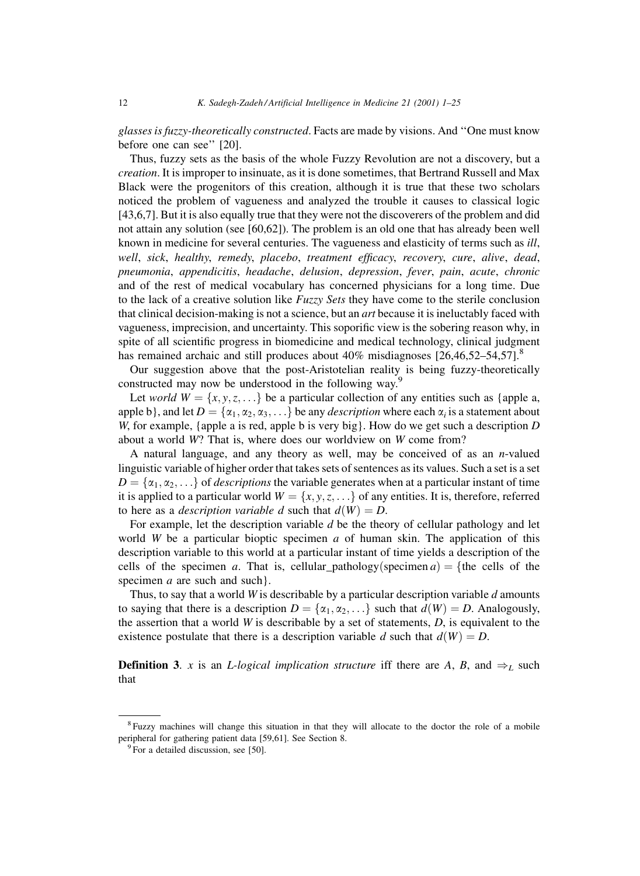glasses is fuzzy-theoretically constructed. Facts are made by visions. And "One must know before one can see'' [20].

Thus, fuzzy sets as the basis of the whole Fuzzy Revolution are not a discovery, but a creation. It is improper to insinuate, as it is done sometimes, that Bertrand Russell and Max Black were the progenitors of this creation, although it is true that these two scholars noticed the problem of vagueness and analyzed the trouble it causes to classical logic [43,6,7]. But it is also equally true that they were not the discoverers of the problem and did not attain any solution (see [60,62]). The problem is an old one that has already been well known in medicine for several centuries. The vagueness and elasticity of terms such as ill, well, sick, healthy, remedy, placebo, treatment efficacy, recovery, cure, alive, dead, pneumonia, appendicitis, headache, delusion, depression, fever, pain, acute, chronic and of the rest of medical vocabulary has concerned physicians for a long time. Due to the lack of a creative solution like *Fuzzy Sets* they have come to the sterile conclusion that clinical decision-making is not a science, but an *art* because it is ineluctably faced with vagueness, imprecision, and uncertainty. This soporific view is the sobering reason why, in spite of all scientific progress in biomedicine and medical technology, clinical judgment has remained archaic and still produces about  $40\%$  misdiagnoses  $[26,46,52-54,57]$ .<sup>8</sup>

Our suggestion above that the post-Aristotelian reality is being fuzzy-theoretically constructed may now be understood in the following way.<sup>9</sup>

Let world  $W = \{x, y, z, \ldots\}$  be a particular collection of any entities such as {apple a, apple b}, and let  $D = \{\alpha_1, \alpha_2, \alpha_3, ...\}$  be any *description* where each  $\alpha_i$  is a statement about W, for example, {apple a is red, apple b is very big}. How do we get such a description D about a world W? That is, where does our worldview on W come from?

A natural language, and any theory as well, may be conceived of as an  $n$ -valued linguistic variable of higher order that takes sets of sentences as its values. Such a set is a set  $D = \{\alpha_1, \alpha_2, \ldots\}$  of *descriptions* the variable generates when at a particular instant of time it is applied to a particular world  $W = \{x, y, z, \ldots\}$  of any entities. It is, therefore, referred to here as a *description variable d* such that  $d(W) = D$ .

For example, let the description variable  $d$  be the theory of cellular pathology and let world W be a particular bioptic specimen  $a$  of human skin. The application of this description variable to this world at a particular instant of time yields a description of the cells of the specimen a. That is, cellular pathology(specimen a) = {the cells of the specimen  $a$  are such and such.

Thus, to say that a world W is describable by a particular description variable d amounts to saying that there is a description  $D = \{ \alpha_1, \alpha_2, \ldots \}$  such that  $d(W) = D$ . Analogously, the assertion that a world  $W$  is describable by a set of statements,  $D$ , is equivalent to the existence postulate that there is a description variable d such that  $d(W) = D$ .

**Definition 3.** x is an L-logical implication structure iff there are A, B, and  $\Rightarrow_L$  such that

<sup>8</sup> Fuzzy machines will change this situation in that they will allocate to the doctor the role of a mobile peripheral for gathering patient data [59,61]. See Section 8. <sup>9</sup> For a detailed discussion, see [50].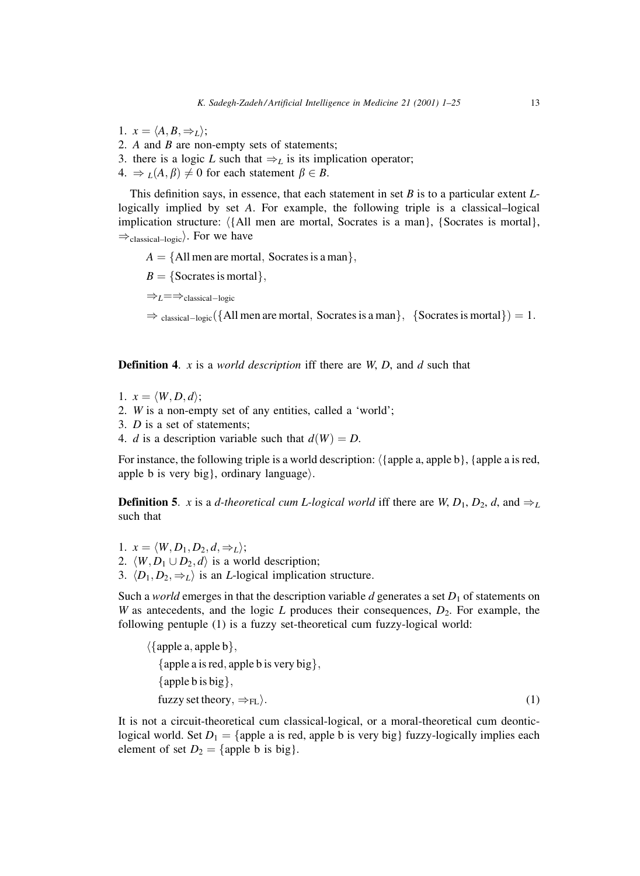- 1.  $x = \langle A, B, \Rightarrow_L \rangle;$
- 2. A and B are non-empty sets of statements;
- 3. there is a logic L such that  $\Rightarrow_L$  is its implication operator;
- 4.  $\Rightarrow L(A, \beta) \neq 0$  for each statement  $\beta \in B$ .

This definition says, in essence, that each statement in set  $B$  is to a particular extent  $L$ logically implied by set  $A$ . For example, the following triple is a classical-logical implication structure:  $\{\{All \text{ men are mortal, Socrates is a man}\}, \{\text{Socrates is mortal}\},\$  $\Rightarrow$ classical-logic). For we have

 $A = \{All men are mortal, Socrates is a man\},\$  $B = \{S$ ocrates is mortal $\}$ .

 $\Rightarrow_L=\Rightarrow_{\text{classical}-\text{logic}}$ 

 $\Rightarrow$  classical-logic ({All men are mortal, Socrates is a man}, {Socrates is mortal}) = 1.

**Definition 4.** x is a *world description* iff there are  $W$ ,  $D$ , and  $d$  such that

- 1.  $x = \langle W, D, d \rangle$ ;
- 2. W is a non-empty set of any entities, called a `world';
- 3. D is a set of statements;
- 4. *d* is a description variable such that  $d(W) = D$ .

For instance, the following triple is a world description:  $\{\{\text{apple a, apple b}\}, \{\text{apple a is red},\}$ apple b is very big}, ordinary language $\rangle$ .

**Definition 5.** x is a d-theoretical cum L-logical world iff there are W,  $D_1$ ,  $D_2$ , d, and  $\Rightarrow_L$ such that

- 1.  $x = \langle W, D_1, D_2, d, \Rightarrow_L \rangle;$
- 2.  $\langle W, D_1 \cup D_2, d \rangle$  is a world description;
- 3.  $\langle D_1, D_2, \Rightarrow_L \rangle$  is an *L*-logical implication structure.

Such a *world* emerges in that the description variable d generates a set  $D_1$  of statements on W as antecedents, and the logic L produces their consequences,  $D_2$ . For example, the following pentuple (1) is a fuzzy set-theoretical cum fuzzy-logical world:

$$
\langle \{\text{apple a, apple b}\},\
$$
  
\n
$$
\{\text{apple a is red, apple b is very big}\},\
$$
  
\n
$$
\{\text{apple b is big}\},\
$$
  
\n
$$
\{\text{fuzzy set theory}, \Rightarrow_{\text{FL}}\}.
$$
  
\n(1)

It is not a circuit-theoretical cum classical-logical, or a moral-theoretical cum deonticlogical world. Set  $D_1 = \{ \text{apple a is red, apple b is very big} \}$  fuzzy-logically implies each element of set  $D_2 = \{ \text{apple } b \text{ is big} \}.$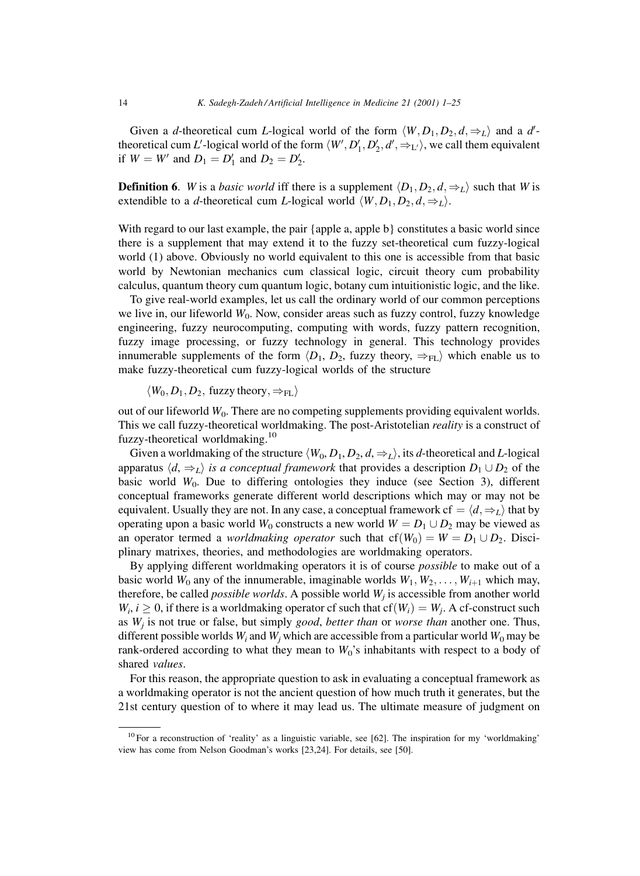Given a d-theoretical cum L-logical world of the form  $\langle W, D_1, D_2, d, \Rightarrow_L \rangle$  and a d'theoretical cum L'-logical world of the form  $\langle W', D'_1, D'_2, d', \Rightarrow_L \rangle$ , we call them equivalent if  $W = W'$  and  $D_1 = D'_1$  and  $D_2 = D'_2$ .

**Definition 6.** W is a *basic world* iff there is a supplement  $\langle D_1, D_2, d, \Rightarrow_L \rangle$  such that W is extendible to a d-theoretical cum L-logical world  $\langle W, D_1, D_2, d, \Rightarrow_L \rangle$ .

With regard to our last example, the pair {apple a, apple b} constitutes a basic world since there is a supplement that may extend it to the fuzzy set-theoretical cum fuzzy-logical world (1) above. Obviously no world equivalent to this one is accessible from that basic world by Newtonian mechanics cum classical logic, circuit theory cum probability calculus, quantum theory cum quantum logic, botany cum intuitionistic logic, and the like.

To give real-world examples, let us call the ordinary world of our common perceptions we live in, our lifeworld  $W_0$ . Now, consider areas such as fuzzy control, fuzzy knowledge engineering, fuzzy neurocomputing, computing with words, fuzzy pattern recognition, fuzzy image processing, or fuzzy technology in general. This technology provides innumerable supplements of the form  $\langle D_1, D_2,$  fuzzy theory,  $\Rightarrow_{\text{FI}}$  which enable us to make fuzzy-theoretical cum fuzzy-logical worlds of the structure

 $\langle W_0, D_1, D_2, \text{ fuzzy theory}, \Rightarrow_{FL} \rangle$ 

out of our lifeworld  $W_0$ . There are no competing supplements providing equivalent worlds. This we call fuzzy-theoretical worldmaking. The post-Aristotelian reality is a construct of fuzzy-theoretical worldmaking.<sup>10</sup>

Given a worldmaking of the structure  $\langle W_0, D_1, D_2, d, \Rightarrow_L \rangle$ , its d-theoretical and L-logical apparatus  $\langle d, \Rightarrow_L \rangle$  is a conceptual framework that provides a description  $D_1 \cup D_2$  of the basic world  $W_0$ . Due to differing ontologies they induce (see Section 3), different conceptual frameworks generate different world descriptions which may or may not be equivalent. Usually they are not. In any case, a conceptual framework cf =  $\langle d, \Rightarrow_L \rangle$  that by operating upon a basic world  $W_0$  constructs a new world  $W = D_1 \cup D_2$  may be viewed as an operator termed a *worldmaking operator* such that  $cf(W_0) = W = D_1 \cup D_2$ . Disciplinary matrixes, theories, and methodologies are worldmaking operators.

By applying different worldmaking operators it is of course *possible* to make out of a basic world  $W_0$  any of the innumerable, imaginable worlds  $W_1, W_2, \ldots, W_{i+1}$  which may, therefore, be called *possible worlds*. A possible world  $W<sub>i</sub>$  is accessible from another world  $W_i$ ,  $i \geq 0$ , if there is a worldmaking operator cf such that cf( $W_i$ ) =  $W_j$ . A cf-construct such as  $W_i$  is not true or false, but simply *good, better than* or *worse than* another one. Thus, different possible worlds  $W_i$  and  $W_j$  which are accessible from a particular world  $W_0$  may be rank-ordered according to what they mean to  $W_0$ 's inhabitants with respect to a body of shared values.

For this reason, the appropriate question to ask in evaluating a conceptual framework as a worldmaking operator is not the ancient question of how much truth it generates, but the 21st century question of to where it may lead us. The ultimate measure of judgment on

 $10$  For a reconstruction of 'reality' as a linguistic variable, see [62]. The inspiration for my 'worldmaking' view has come from Nelson Goodman's works [23,24]. For details, see [50].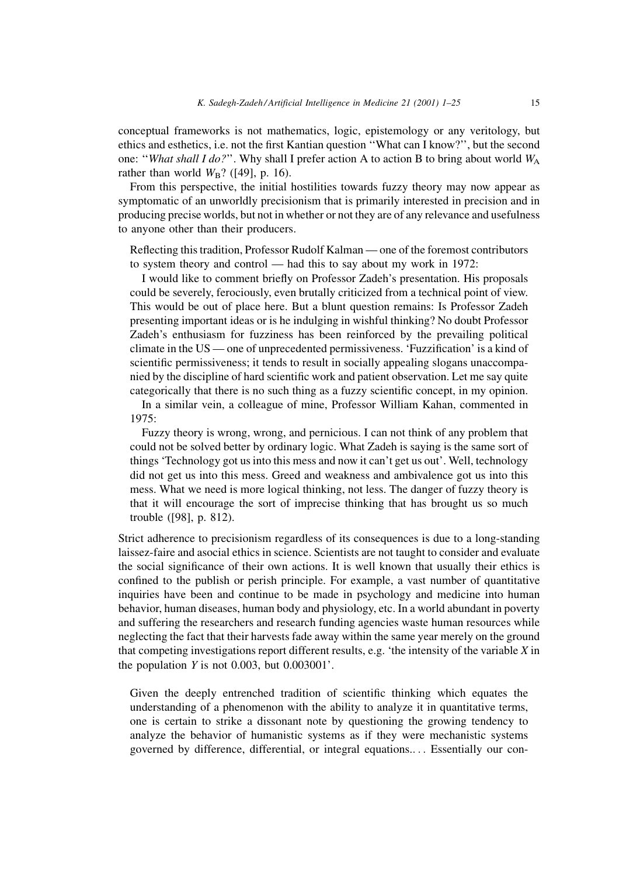conceptual frameworks is not mathematics, logic, epistemology or any veritology, but ethics and esthetics, i.e. not the first Kantian question "What can I know?", but the second one: "What shall I do?". Why shall I prefer action A to action B to bring about world  $W_A$ rather than world  $W_{\rm B}$ ? ([49], p. 16).

From this perspective, the initial hostilities towards fuzzy theory may now appear as symptomatic of an unworldly precisionism that is primarily interested in precision and in producing precise worlds, but not in whether or not they are of any relevance and usefulness to anyone other than their producers.

Reflecting this tradition, Professor Rudolf Kalman — one of the foremost contributors to system theory and control  $-$  had this to say about my work in 1972:

I would like to comment briefly on Professor Zadeh's presentation. His proposals could be severely, ferociously, even brutally criticized from a technical point of view. This would be out of place here. But a blunt question remains: Is Professor Zadeh presenting important ideas or is he indulging in wishful thinking? No doubt Professor Zadeh's enthusiasm for fuzziness has been reinforced by the prevailing political climate in the  $US$   $\sim$  one of unprecedented permissiveness. 'Fuzzification' is a kind of scientific permissiveness; it tends to result in socially appealing slogans unaccompanied by the discipline of hard scientific work and patient observation. Let me say quite categorically that there is no such thing as a fuzzy scientific concept, in my opinion.

In a similar vein, a colleague of mine, Professor William Kahan, commented in 1975:

Fuzzy theory is wrong, wrong, and pernicious. I can not think of any problem that could not be solved better by ordinary logic. What Zadeh is saying is the same sort of things `Technology got us into this mess and now it can't get us out'. Well, technology did not get us into this mess. Greed and weakness and ambivalence got us into this mess. What we need is more logical thinking, not less. The danger of fuzzy theory is that it will encourage the sort of imprecise thinking that has brought us so much trouble ([98], p. 812).

Strict adherence to precisionism regardless of its consequences is due to a long-standing laissez-faire and asocial ethics in science. Scientists are not taught to consider and evaluate the social significance of their own actions. It is well known that usually their ethics is confined to the publish or perish principle. For example, a vast number of quantitative inquiries have been and continue to be made in psychology and medicine into human behavior, human diseases, human body and physiology, etc. In a world abundant in poverty and suffering the researchers and research funding agencies waste human resources while neglecting the fact that their harvests fade away within the same year merely on the ground that competing investigations report different results, e.g.  $\theta$  the intensity of the variable X in the population  $Y$  is not 0.003, but 0.003001'.

Given the deeply entrenched tradition of scientific thinking which equates the understanding of a phenomenon with the ability to analyze it in quantitative terms, one is certain to strike a dissonant note by questioning the growing tendency to analyze the behavior of humanistic systems as if they were mechanistic systems governed by difference, differential, or integral equations.... Essentially our con-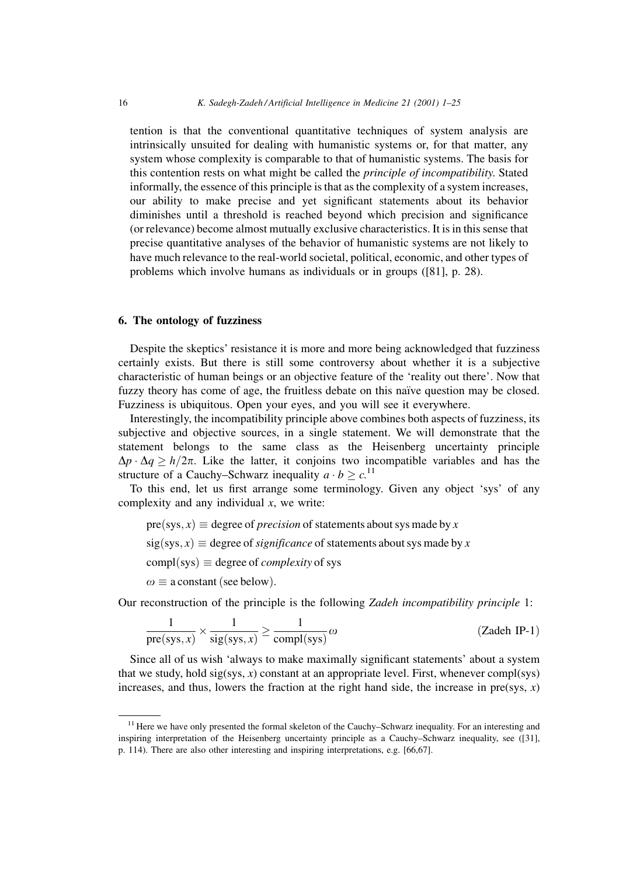tention is that the conventional quantitative techniques of system analysis are intrinsically unsuited for dealing with humanistic systems or, for that matter, any system whose complexity is comparable to that of humanistic systems. The basis for this contention rests on what might be called the *principle of incompatibility*. Stated informally, the essence of this principle is that as the complexity of a system increases, our ability to make precise and vet significant statements about its behavior diminishes until a threshold is reached beyond which precision and significance (or relevance) become almost mutually exclusive characteristics. It is in this sense that precise quantitative analyses of the behavior of humanistic systems are not likely to have much relevance to the real-world societal, political, economic, and other types of problems which involve humans as individuals or in groups ([81], p. 28).

#### 6. The ontology of fuzziness

Despite the skeptics' resistance it is more and more being acknowledged that fuzziness certainly exists. But there is still some controversy about whether it is a subjective characteristic of human beings or an objective feature of the `reality out there'. Now that fuzzy theory has come of age, the fruitless debate on this naïve question may be closed. Fuzziness is ubiquitous. Open your eyes, and you will see it everywhere.

Interestingly, the incompatibility principle above combines both aspects of fuzziness, its subjective and objective sources, in a single statement. We will demonstrate that the statement belongs to the same class as the Heisenberg uncertainty principle  $\Delta p \cdot \Delta q \ge h/2\pi$ . Like the latter, it conjoins two incompatible variables and has the structure of a Cauchy-Schwarz inequality  $a \cdot b \geq c$ <sup>11</sup>

To this end, let us first arrange some terminology. Given any object 'sys' of any complexity and any individual  $x$ , we write:

 $pre(sys, x) \equiv degree of *precision* of statements about sys made by x$ 

 $sig(sys, x) \equiv degree of significance of statements about sys made by x$ 

 $compl(sys) \equiv degree of *complexity* of sys$ 

 $\omega \equiv$  a constant (see below).

Our reconstruction of the principle is the following Zadeh incompatibility principle 1:

$$
\frac{1}{\text{pre(sys, } x)} \times \frac{1}{\text{sig(sys, } x} \ge \frac{1}{\text{compl(sys)}} \omega \tag{Zadeh IP-1}
$$

Since all of us wish 'always to make maximally significant statements' about a system that we study, hold sig(sys,  $x$ ) constant at an appropriate level. First, whenever compl(sys) increases, and thus, lowers the fraction at the right hand side, the increase in pre(sys,  $x$ )

<sup>&</sup>lt;sup>11</sup> Here we have only presented the formal skeleton of the Cauchy-Schwarz inequality. For an interesting and inspiring interpretation of the Heisenberg uncertainty principle as a Cauchy-Schwarz inequality, see ([31], p. 114). There are also other interesting and inspiring interpretations, e.g. [66,67].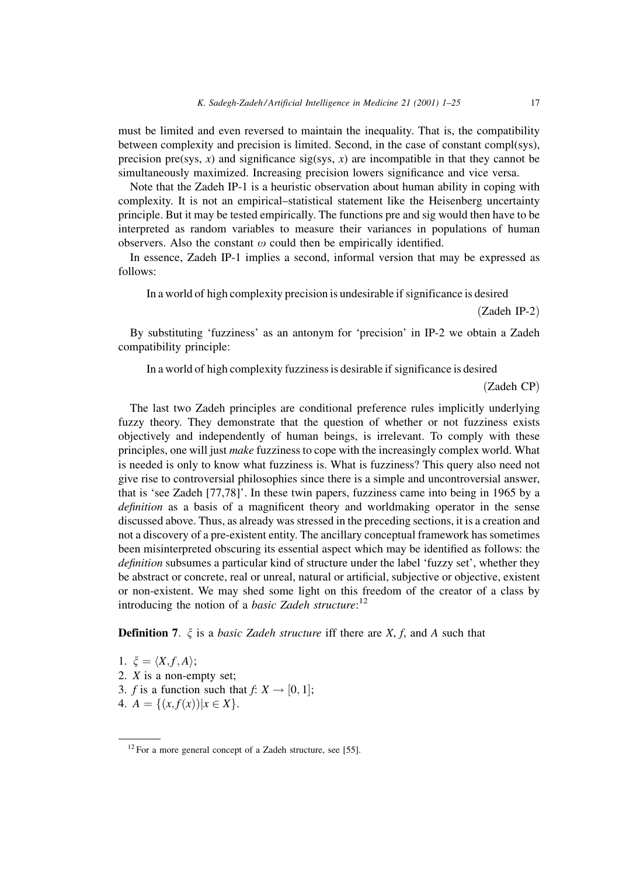must be limited and even reversed to maintain the inequality. That is, the compatibility between complexity and precision is limited. Second, in the case of constant compl(sys), precision pre(sys, x) and significance sig(sys, x) are incompatible in that they cannot be simultaneously maximized. Increasing precision lowers significance and vice versa.

Note that the Zadeh IP-1 is a heuristic observation about human ability in coping with complexity. It is not an empirical–statistical statement like the Heisenberg uncertainty principle. But it may be tested empirically. The functions pre and sig would then have to be interpreted as random variables to measure their variances in populations of human observers. Also the constant  $\omega$  could then be empirically identified.

In essence, Zadeh IP-1 implies a second, informal version that may be expressed as follows:

In a world of high complexity precision is undesirable if significance is desired

Zadeh IP-2

By substituting 'fuzziness' as an antonym for 'precision' in IP-2 we obtain a Zadeh compatibility principle:

In a world of high complexity fuzziness is desirable if significance is desired

Zadeh CP

The last two Zadeh principles are conditional preference rules implicitly underlying fuzzy theory. They demonstrate that the question of whether or not fuzziness exists objectively and independently of human beings, is irrelevant. To comply with these principles, one will just make fuzziness to cope with the increasingly complex world. What is needed is only to know what fuzziness is. What is fuzziness? This query also need not give rise to controversial philosophies since there is a simple and uncontroversial answer, that is `see Zadeh [77,78]'. In these twin papers, fuzziness came into being in 1965 by a definition as a basis of a magnificent theory and worldmaking operator in the sense discussed above. Thus, as already was stressed in the preceding sections, it is a creation and not a discovery of a pre-existent entity. The ancillary conceptual framework has sometimes been misinterpreted obscuring its essential aspect which may be identified as follows: the definition subsumes a particular kind of structure under the label 'fuzzy set', whether they be abstract or concrete, real or unreal, natural or artificial, subjective or objective, existent or non-existent. We may shed some light on this freedom of the creator of a class by introducing the notion of a basic Zadeh structure:<sup>12</sup>

**Definition 7.**  $\xi$  is a *basic Zadeh structure* iff there are X, f, and A such that

1.  $\xi = \langle X, f, A \rangle;$ 

- 2. X is a non-empty set;
- 3. f is a function such that  $f: X \to [0, 1];$
- 4.  $A = \{(x, f(x)) | x \in X\}.$

 $12$  For a more general concept of a Zadeh structure, see [55].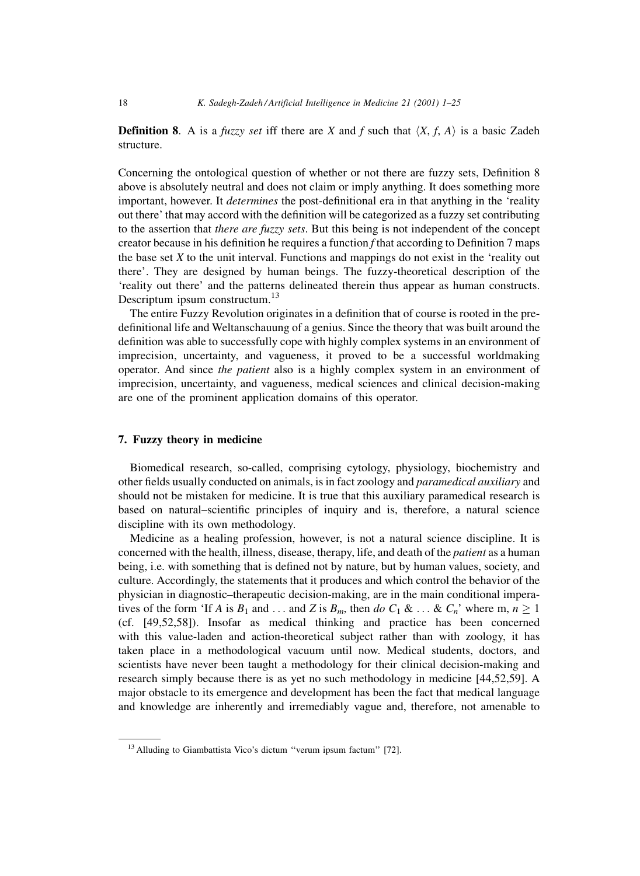**Definition 8.** A is a fuzzy set iff there are X and f such that  $\langle X, f, A \rangle$  is a basic Zadeh structure.

Concerning the ontological question of whether or not there are fuzzy sets, Definition 8 above is absolutely neutral and does not claim or imply anything. It does something more important, however. It *determines* the post-definitional era in that anything in the 'reality out there' that may accord with the definition will be categorized as a fuzzy set contributing to the assertion that *there are fuzzy sets*. But this being is not independent of the concept creator because in his definition he requires a function f that according to Definition 7 maps the base set  $X$  to the unit interval. Functions and mappings do not exist in the 'reality out there'. They are designed by human beings. The fuzzy-theoretical description of the `reality out there' and the patterns delineated therein thus appear as human constructs. Descriptum ipsum constructum.<sup>13</sup>

The entire Fuzzy Revolution originates in a definition that of course is rooted in the predefinitional life and Weltanschauung of a genius. Since the theory that was built around the definition was able to successfully cope with highly complex systems in an environment of imprecision, uncertainty, and vagueness, it proved to be a successful worldmaking operator. And since the patient also is a highly complex system in an environment of imprecision, uncertainty, and vagueness, medical sciences and clinical decision-making are one of the prominent application domains of this operator.

#### 7. Fuzzy theory in medicine

Biomedical research, so-called, comprising cytology, physiology, biochemistry and other fields usually conducted on animals, is in fact zoology and *paramedical auxiliary* and should not be mistaken for medicine. It is true that this auxiliary paramedical research is based on natural–scientific principles of inquiry and is, therefore, a natural science discipline with its own methodology.

Medicine as a healing profession, however, is not a natural science discipline. It is concerned with the health, illness, disease, therapy, life, and death of the patient as a human being, i.e. with something that is defined not by nature, but by human values, society, and culture. Accordingly, the statements that it produces and which control the behavior of the physician in diagnostic-therapeutic decision-making, are in the main conditional imperatives of the form 'If A is  $B_1$  and ... and Z is  $B_m$ , then do  $C_1 \& \ldots \& C_n$ ' where m,  $n \geq 1$ (cf. [49,52,58]). Insofar as medical thinking and practice has been concerned with this value-laden and action-theoretical subject rather than with zoology, it has taken place in a methodological vacuum until now. Medical students, doctors, and scientists have never been taught a methodology for their clinical decision-making and research simply because there is as yet no such methodology in medicine [44,52,59]. A major obstacle to its emergence and development has been the fact that medical language and knowledge are inherently and irremediably vague and, therefore, not amenable to

 $13$  Alluding to Giambattista Vico's dictum "verum ipsum factum" [72].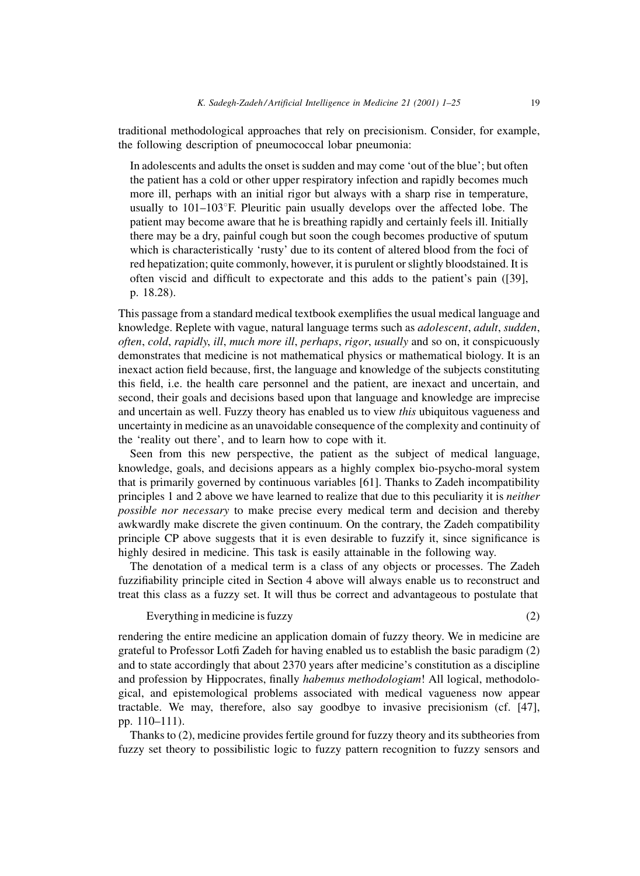traditional methodological approaches that rely on precisionism. Consider, for example, the following description of pneumococcal lobar pneumonia:

In adolescents and adults the onset is sudden and may come 'out of the blue'; but often the patient has a cold or other upper respiratory infection and rapidly becomes much more ill, perhaps with an initial rigor but always with a sharp rise in temperature, usually to  $101-103$ <sup>o</sup>F. Pleuritic pain usually develops over the affected lobe. The patient may become aware that he is breathing rapidly and certainly feels ill. Initially there may be a dry, painful cough but soon the cough becomes productive of sputum which is characteristically 'rusty' due to its content of altered blood from the foci of red hepatization; quite commonly, however, it is purulent or slightly bloodstained. It is often viscid and difficult to expectorate and this adds to the patient's pain ([39], p. 18.28).

This passage from a standard medical textbook exemplifies the usual medical language and knowledge. Replete with vague, natural language terms such as adolescent, adult, sudden, often, cold, rapidly, ill, much more ill, perhaps, rigor, usually and so on, it conspicuously demonstrates that medicine is not mathematical physics or mathematical biology. It is an inexact action field because, first, the language and knowledge of the subjects constituting this ®eld, i.e. the health care personnel and the patient, are inexact and uncertain, and second, their goals and decisions based upon that language and knowledge are imprecise and uncertain as well. Fuzzy theory has enabled us to view this ubiquitous vagueness and uncertainty in medicine as an unavoidable consequence of the complexity and continuity of the `reality out there', and to learn how to cope with it.

Seen from this new perspective, the patient as the subject of medical language, knowledge, goals, and decisions appears as a highly complex bio-psycho-moral system that is primarily governed by continuous variables [61]. Thanks to Zadeh incompatibility principles 1 and 2 above we have learned to realize that due to this peculiarity it is neither possible nor necessary to make precise every medical term and decision and thereby awkwardly make discrete the given continuum. On the contrary, the Zadeh compatibility principle CP above suggests that it is even desirable to fuzzify it, since significance is highly desired in medicine. This task is easily attainable in the following way.

The denotation of a medical term is a class of any objects or processes. The Zadeh fuzzifiability principle cited in Section 4 above will always enable us to reconstruct and treat this class as a fuzzy set. It will thus be correct and advantageous to postulate that

Everything in medicine is fuzzy (2)

rendering the entire medicine an application domain of fuzzy theory. We in medicine are grateful to Professor Lotfi Zadeh for having enabled us to establish the basic paradigm  $(2)$ and to state accordingly that about 2370 years after medicine's constitution as a discipline and profession by Hippocrates, finally *habemus methodologiam*! All logical, methodological, and epistemological problems associated with medical vagueness now appear tractable. We may, therefore, also say goodbye to invasive precisionism (cf. [47], pp. 110-111).

Thanks to (2), medicine provides fertile ground for fuzzy theory and its subtheories from fuzzy set theory to possibilistic logic to fuzzy pattern recognition to fuzzy sensors and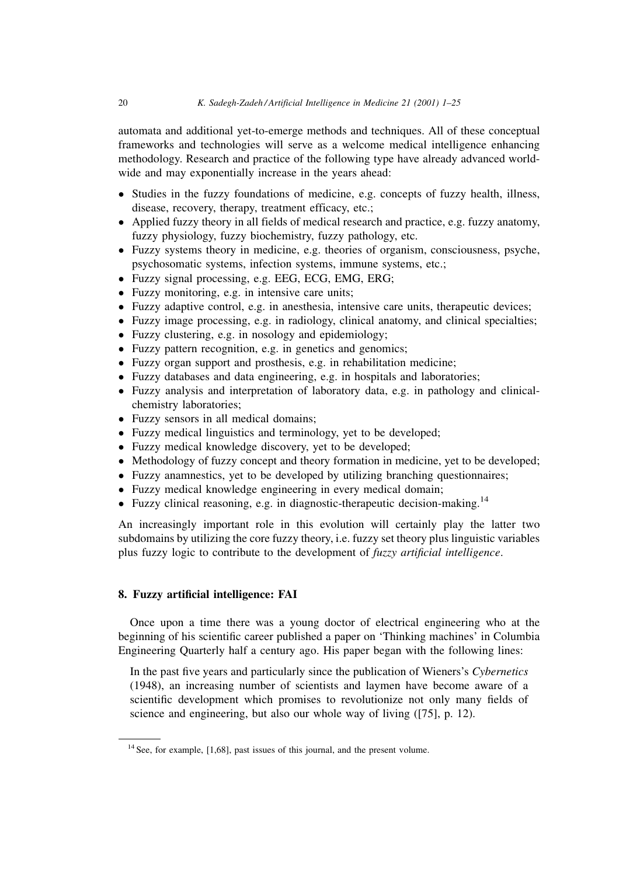automata and additional yet-to-emerge methods and techniques. All of these conceptual frameworks and technologies will serve as a welcome medical intelligence enhancing methodology. Research and practice of the following type have already advanced worldwide and may exponentially increase in the years ahead:

- Studies in the fuzzy foundations of medicine, e.g. concepts of fuzzy health, illness, disease, recovery, therapy, treatment efficacy, etc.;
- Applied fuzzy theory in all fields of medical research and practice, e.g. fuzzy anatomy, fuzzy physiology, fuzzy biochemistry, fuzzy pathology, etc.
- Fuzzy systems theory in medicine, e.g. theories of organism, consciousness, psyche, psychosomatic systems, infection systems, immune systems, etc.;
- Fuzzy signal processing, e.g. EEG, ECG, EMG, ERG;
- Fuzzy monitoring, e.g. in intensive care units;
- Fuzzy adaptive control, e.g. in anesthesia, intensive care units, therapeutic devices;
- Fuzzy image processing, e.g. in radiology, clinical anatomy, and clinical specialties;
- Fuzzy clustering, e.g. in nosology and epidemiology;
- Fuzzy pattern recognition, e.g. in genetics and genomics;
- Fuzzy organ support and prosthesis, e.g. in rehabilitation medicine;
- Fuzzy databases and data engineering, e.g. in hospitals and laboratories;
- Fuzzy analysis and interpretation of laboratory data, e.g. in pathology and clinicalchemistry laboratories;
- Fuzzy sensors in all medical domains;
- Fuzzy medical linguistics and terminology, yet to be developed;
- Fuzzy medical knowledge discovery, yet to be developed;
- Methodology of fuzzy concept and theory formation in medicine, yet to be developed;
- Fuzzy anamnestics, yet to be developed by utilizing branching questionnaires;
- Fuzzy medical knowledge engineering in every medical domain;
- Fuzzy clinical reasoning, e.g. in diagnostic-therapeutic decision-making.<sup>14</sup>

An increasingly important role in this evolution will certainly play the latter two subdomains by utilizing the core fuzzy theory, i.e. fuzzy set theory plus linguistic variables plus fuzzy logic to contribute to the development of *fuzzy artificial intelligence*.

# 8. Fuzzy artificial intelligence: FAI

Once upon a time there was a young doctor of electrical engineering who at the beginning of his scientific career published a paper on 'Thinking machines' in Columbia Engineering Quarterly half a century ago. His paper began with the following lines:

In the past five years and particularly since the publication of Wieners's Cybernetics (1948), an increasing number of scientists and laymen have become aware of a scientific development which promises to revolutionize not only many fields of science and engineering, but also our whole way of living ([75], p. 12).

 $14$  See, for example, [1,68], past issues of this journal, and the present volume.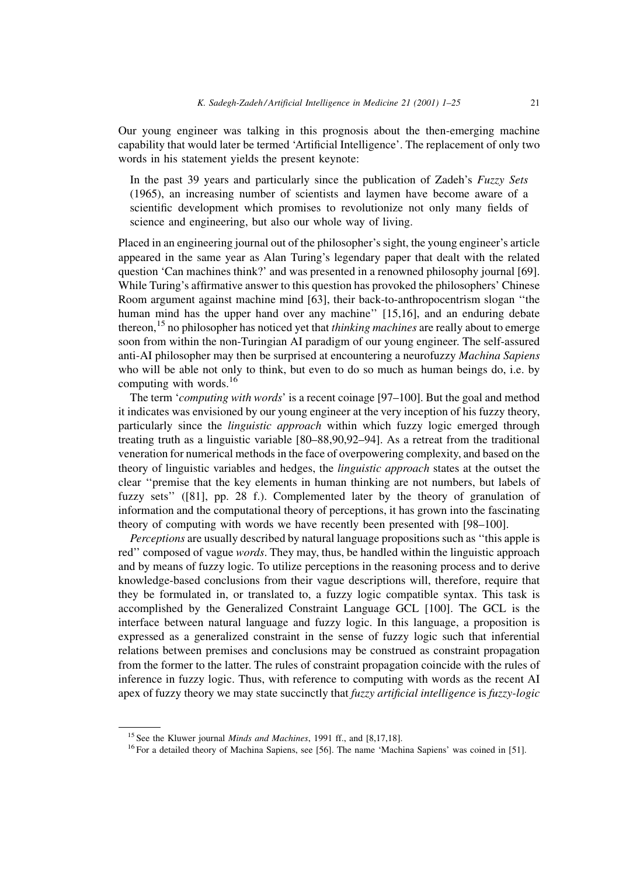Our young engineer was talking in this prognosis about the then-emerging machine capability that would later be termed 'Artificial Intelligence'. The replacement of only two words in his statement yields the present keynote:

In the past 39 years and particularly since the publication of Zadeh's Fuzzy Sets (1965), an increasing number of scientists and laymen have become aware of a scientific development which promises to revolutionize not only many fields of science and engineering, but also our whole way of living.

Placed in an engineering journal out of the philosopher's sight, the young engineer's article appeared in the same year as Alan Turing's legendary paper that dealt with the related question `Can machines think?' and was presented in a renowned philosophy journal [69]. While Turing's affirmative answer to this question has provoked the philosophers' Chinese Room argument against machine mind [63], their back-to-anthropocentrism slogan "the human mind has the upper hand over any machine'' [15,16], and an enduring debate thereon,<sup>15</sup> no philosopher has noticed yet that *thinking machines* are really about to emerge soon from within the non-Turingian AI paradigm of our young engineer. The self-assured anti-AI philosopher may then be surprised at encountering a neurofuzzy Machina Sapiens who will be able not only to think, but even to do so much as human beings do, i.e. by computing with words. $16$ 

The term 'computing with words' is a recent coinage [97-100]. But the goal and method it indicates was envisioned by our young engineer at the very inception of his fuzzy theory, particularly since the linguistic approach within which fuzzy logic emerged through treating truth as a linguistic variable  $[80-88,90,92-94]$ . As a retreat from the traditional veneration for numerical methods in the face of overpowering complexity, and based on the theory of linguistic variables and hedges, the linguistic approach states at the outset the clear "premise that the key elements in human thinking are not numbers, but labels of fuzzy sets'' ([81], pp. 28 f.). Complemented later by the theory of granulation of information and the computational theory of perceptions, it has grown into the fascinating theory of computing with words we have recently been presented with  $[98–100]$ .

Perceptions are usually described by natural language propositions such as "this apple is red'' composed of vague words. They may, thus, be handled within the linguistic approach and by means of fuzzy logic. To utilize perceptions in the reasoning process and to derive knowledge-based conclusions from their vague descriptions will, therefore, require that they be formulated in, or translated to, a fuzzy logic compatible syntax. This task is accomplished by the Generalized Constraint Language GCL [100]. The GCL is the interface between natural language and fuzzy logic. In this language, a proposition is expressed as a generalized constraint in the sense of fuzzy logic such that inferential relations between premises and conclusions may be construed as constraint propagation from the former to the latter. The rules of constraint propagation coincide with the rules of inference in fuzzy logic. Thus, with reference to computing with words as the recent AI apex of fuzzy theory we may state succinctly that fuzzy artificial intelligence is fuzzy-logic

<sup>&</sup>lt;sup>15</sup> See the Kluwer journal *Minds and Machines*, 1991 ff., and [8,17,18].<br><sup>16</sup> For a detailed theory of Machina Sapiens, see [56]. The name 'Machina Sapiens' was coined in [51].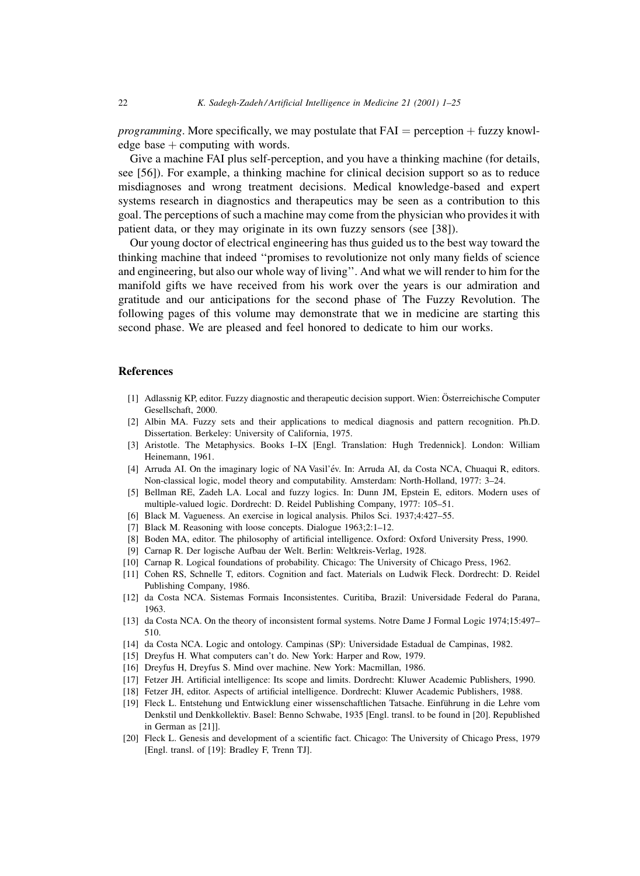*programming*. More specifically, we may postulate that  $FAI =$  perception  $+$  fuzzy knowledge base  $+$  computing with words.

Give a machine FAI plus self-perception, and you have a thinking machine (for details, see [56]). For example, a thinking machine for clinical decision support so as to reduce misdiagnoses and wrong treatment decisions. Medical knowledge-based and expert systems research in diagnostics and therapeutics may be seen as a contribution to this goal. The perceptions of such a machine may come from the physician who provides it with patient data, or they may originate in its own fuzzy sensors (see [38]).

Our young doctor of electrical engineering has thus guided us to the best way toward the thinking machine that indeed "promises to revolutionize not only many fields of science and engineering, but also our whole way of living''. And what we will render to him for the manifold gifts we have received from his work over the years is our admiration and gratitude and our anticipations for the second phase of The Fuzzy Revolution. The following pages of this volume may demonstrate that we in medicine are starting this second phase. We are pleased and feel honored to dedicate to him our works.

## References

- [1] Adlassnig KP, editor. Fuzzy diagnostic and therapeutic decision support. Wien: Österreichische Computer Gesellschaft, 2000.
- [2] Albin MA. Fuzzy sets and their applications to medical diagnosis and pattern recognition. Ph.D. Dissertation. Berkeley: University of California, 1975.
- [3] Aristotle. The Metaphysics. Books I-IX [Engl. Translation: Hugh Tredennick]. London: William Heinemann, 1961.
- [4] Arruda AI. On the imaginary logic of NA Vasil'év. In: Arruda AI, da Costa NCA, Chuaqui R, editors. Non-classical logic, model theory and computability. Amsterdam: North-Holland, 1977: 3–24.
- [5] Bellman RE, Zadeh LA. Local and fuzzy logics. In: Dunn JM, Epstein E, editors. Modern uses of multiple-valued logic. Dordrecht: D. Reidel Publishing Company, 1977: 105-51.
- [6] Black M. Vagueness. An exercise in logical analysis. Philos Sci. 1937;4:427–55.
- [7] Black M. Reasoning with loose concepts. Dialogue 1963;2:1-12.
- [8] Boden MA, editor. The philosophy of artificial intelligence. Oxford: Oxford University Press, 1990.
- [9] Carnap R. Der logische Aufbau der Welt. Berlin: Weltkreis-Verlag, 1928.
- [10] Carnap R. Logical foundations of probability. Chicago: The University of Chicago Press, 1962.
- [11] Cohen RS, Schnelle T, editors. Cognition and fact. Materials on Ludwik Fleck. Dordrecht: D. Reidel Publishing Company, 1986.
- [12] da Costa NCA. Sistemas Formais Inconsistentes. Curitiba, Brazil: Universidade Federal do Parana, 1963.
- [13] da Costa NCA. On the theory of inconsistent formal systems. Notre Dame J Formal Logic 1974;15:497– 510.
- [14] da Costa NCA. Logic and ontology. Campinas (SP): Universidade Estadual de Campinas, 1982.
- [15] Dreyfus H. What computers can't do. New York: Harper and Row, 1979.
- [16] Dreyfus H, Dreyfus S. Mind over machine. New York: Macmillan, 1986.
- [17] Fetzer JH. Artificial intelligence: Its scope and limits. Dordrecht: Kluwer Academic Publishers, 1990.
- [18] Fetzer JH, editor. Aspects of artificial intelligence. Dordrecht: Kluwer Academic Publishers, 1988.
- [19] Fleck L. Entstehung und Entwicklung einer wissenschaftlichen Tatsache. Einführung in die Lehre vom Denkstil und Denkkollektiv. Basel: Benno Schwabe, 1935 [Engl. transl. to be found in [20]. Republished in German as [21]].
- [20] Fleck L. Genesis and development of a scientific fact. Chicago: The University of Chicago Press, 1979 [Engl. transl. of [19]: Bradley F, Trenn TJ].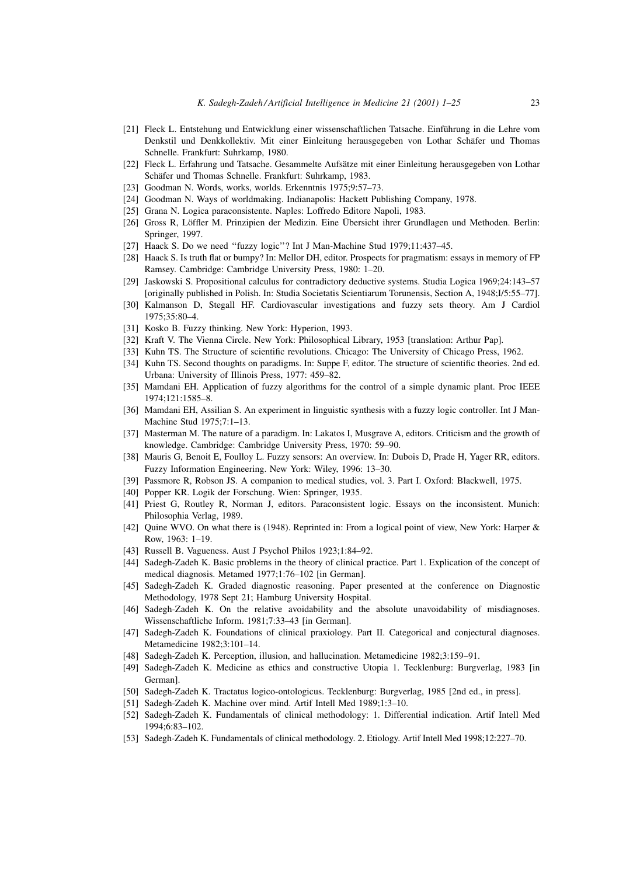- [21] Fleck L. Entstehung und Entwicklung einer wissenschaftlichen Tatsache. Einführung in die Lehre vom Denkstil und Denkkollektiv. Mit einer Einleitung herausgegeben von Lothar Schäfer und Thomas Schnelle. Frankfurt: Suhrkamp, 1980.
- [22] Fleck L. Erfahrung und Tatsache. Gesammelte Aufsätze mit einer Einleitung herausgegeben von Lothar Schäfer und Thomas Schnelle. Frankfurt: Suhrkamp, 1983.
- [23] Goodman N. Words, works, worlds. Erkenntnis 1975;9:57-73.
- [24] Goodman N. Ways of worldmaking. Indianapolis: Hackett Publishing Company, 1978.
- [25] Grana N. Logica paraconsistente. Naples: Loffredo Editore Napoli, 1983.
- [26] Gross R, Löffler M. Prinzipien der Medizin. Eine Übersicht ihrer Grundlagen und Methoden. Berlin: Springer, 1997.
- [27] Haack S. Do we need "fuzzy logic"? Int J Man-Machine Stud  $1979:11:437-45$ .
- [28] Haack S. Is truth flat or bumpy? In: Mellor DH, editor. Prospects for pragmatism: essays in memory of FP Ramsey. Cambridge: Cambridge University Press, 1980: 1-20.
- [29] Jaskowski S. Propositional calculus for contradictory deductive systems. Studia Logica 1969;24:143-57 [originally published in Polish. In: Studia Societatis Scientiarum Torunensis, Section A, 1948;I/5:55-77].
- [30] Kalmanson D, Stegall HF. Cardiovascular investigations and fuzzy sets theory. Am J Cardiol 1975;35:80±4.
- [31] Kosko B. Fuzzy thinking. New York: Hyperion, 1993.
- [32] Kraft V. The Vienna Circle. New York: Philosophical Library, 1953 [translation: Arthur Pap].
- [33] Kuhn TS. The Structure of scientific revolutions. Chicago: The University of Chicago Press, 1962.
- [34] Kuhn TS. Second thoughts on paradigms. In: Suppe F, editor. The structure of scientific theories. 2nd ed. Urbana: University of Illinois Press, 1977: 459-82.
- [35] Mamdani EH. Application of fuzzy algorithms for the control of a simple dynamic plant. Proc IEEE 1974:121:1585-8.
- [36] Mamdani EH, Assilian S. An experiment in linguistic synthesis with a fuzzy logic controller. Int J Man-Machine Stud 1975;7:1-13.
- [37] Masterman M. The nature of a paradigm. In: Lakatos I, Musgrave A, editors. Criticism and the growth of knowledge. Cambridge: Cambridge University Press, 1970: 59-90.
- [38] Mauris G, Benoit E, Foulloy L. Fuzzy sensors: An overview. In: Dubois D, Prade H, Yager RR, editors. Fuzzy Information Engineering. New York: Wiley, 1996: 13-30.
- [39] Passmore R, Robson JS. A companion to medical studies, vol. 3. Part I. Oxford: Blackwell, 1975.
- [40] Popper KR. Logik der Forschung. Wien: Springer, 1935.
- [41] Priest G, Routley R, Norman J, editors. Paraconsistent logic. Essays on the inconsistent. Munich: Philosophia Verlag, 1989.
- [42] Quine WVO. On what there is (1948). Reprinted in: From a logical point of view, New York: Harper & Row, 1963: 1-19.
- [43] Russell B. Vagueness. Aust J Psychol Philos 1923;1:84-92.
- [44] Sadegh-Zadeh K. Basic problems in the theory of clinical practice. Part 1. Explication of the concept of medical diagnosis. Metamed 1977;1:76-102 [in German].
- [45] Sadegh-Zadeh K. Graded diagnostic reasoning. Paper presented at the conference on Diagnostic Methodology, 1978 Sept 21; Hamburg University Hospital.
- [46] Sadegh-Zadeh K. On the relative avoidability and the absolute unavoidability of misdiagnoses. Wissenschaftliche Inform. 1981;7:33-43 [in German].
- [47] Sadegh-Zadeh K. Foundations of clinical praxiology. Part II. Categorical and conjectural diagnoses. Metamedicine 1982;3:101-14.
- [48] Sadegh-Zadeh K. Perception, illusion, and hallucination. Metamedicine 1982;3:159-91.
- [49] Sadegh-Zadeh K. Medicine as ethics and constructive Utopia 1. Tecklenburg: Burgverlag, 1983 [in German].
- [50] Sadegh-Zadeh K. Tractatus logico-ontologicus. Tecklenburg: Burgverlag, 1985 [2nd ed., in press].
- [51] Sadegh-Zadeh K. Machine over mind. Artif Intell Med 1989;1:3-10.
- [52] Sadegh-Zadeh K. Fundamentals of clinical methodology: 1. Differential indication. Artif Intell Med 1994;6:83±102.
- [53] Sadegh-Zadeh K. Fundamentals of clinical methodology. 2. Etiology. Artif Intell Med 1998;12:227-70.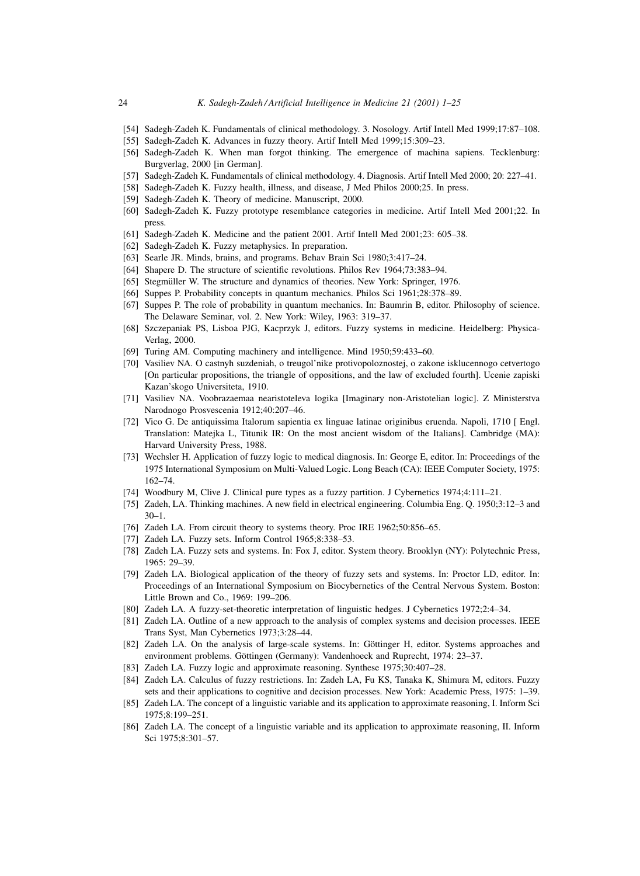- [54] Sadegh-Zadeh K. Fundamentals of clinical methodology. 3. Nosology. Artif Intell Med 1999;17:87-108.
- [55] Sadegh-Zadeh K. Advances in fuzzy theory. Artif Intell Med 1999;15:309-23.
- [56] Sadegh-Zadeh K. When man forgot thinking. The emergence of machina sapiens. Tecklenburg: Burgverlag, 2000 [in German].
- [57] Sadegh-Zadeh K. Fundamentals of clinical methodology. 4. Diagnosis. Artif Intell Med 2000; 20: 227-41.
- [58] Sadegh-Zadeh K. Fuzzy health, illness, and disease, J Med Philos 2000;25. In press.
- [59] Sadegh-Zadeh K. Theory of medicine. Manuscript, 2000.
- [60] Sadegh-Zadeh K. Fuzzy prototype resemblance categories in medicine. Artif Intell Med 2001;22. In press.
- [61] Sadegh-Zadeh K. Medicine and the patient 2001. Artif Intell Med 2001;23:  $605-38$ .
- [62] Sadegh-Zadeh K. Fuzzy metaphysics. In preparation.
- [63] Searle JR. Minds, brains, and programs. Behav Brain Sci 1980;3:417-24.
- [64] Shapere D. The structure of scientific revolutions. Philos Rev 1964;73:383-94.
- [65] Stegmüller W. The structure and dynamics of theories. New York: Springer, 1976.
- [66] Suppes P. Probability concepts in quantum mechanics. Philos Sci 1961;28:378-89.
- [67] Suppes P. The role of probability in quantum mechanics. In: Baumrin B, editor. Philosophy of science. The Delaware Seminar, vol. 2. New York: Wiley, 1963: 319-37.
- [68] Szczepaniak PS, Lisboa PJG, Kacprzyk J, editors. Fuzzy systems in medicine. Heidelberg: Physica-Verlag, 2000.
- [69] Turing AM. Computing machinery and intelligence. Mind 1950;59:433-60.
- [70] Vasiliev NA. O castnyh suzdeniah, o treugol'nike protivopoloznostej, o zakone isklucennogo cetvertogo [On particular propositions, the triangle of oppositions, and the law of excluded fourth]. Ucenie zapiski Kazan'skogo Universiteta, 1910.
- [71] Vasiliev NA. Voobrazaemaa nearistoteleva logika [Imaginary non-Aristotelian logic]. Z Ministerstva Narodnogo Prosvescenia 1912;40:207-46.
- [72] Vico G. De antiquissima Italorum sapientia ex linguae latinae originibus eruenda. Napoli, 1710 [ Engl. Translation: Matejka L, Titunik IR: On the most ancient wisdom of the Italians]. Cambridge (MA): Harvard University Press, 1988.
- [73] Wechsler H. Application of fuzzy logic to medical diagnosis. In: George E, editor. In: Proceedings of the 1975 International Symposium on Multi-Valued Logic. Long Beach (CA): IEEE Computer Society, 1975: 162±74.
- [74] Woodbury M, Clive J. Clinical pure types as a fuzzy partition. J Cybernetics 1974;4:111-21.
- [75] Zadeh, LA. Thinking machines. A new field in electrical engineering. Columbia Eng. Q. 1950;3:12–3 and  $30-1.$
- [76] Zadeh LA. From circuit theory to systems theory. Proc IRE 1962;50:856-65.
- [77] Zadeh LA. Fuzzy sets. Inform Control 1965;8:338-53.
- [78] Zadeh LA. Fuzzy sets and systems. In: Fox J, editor. System theory. Brooklyn (NY): Polytechnic Press, 1965: 29±39.
- [79] Zadeh LA. Biological application of the theory of fuzzy sets and systems. In: Proctor LD, editor. In: Proceedings of an International Symposium on Biocybernetics of the Central Nervous System. Boston: Little Brown and Co., 1969: 199-206.
- [80] Zadeh LA. A fuzzy-set-theoretic interpretation of linguistic hedges. J Cybernetics 1972;2:4-34.
- [81] Zadeh LA. Outline of a new approach to the analysis of complex systems and decision processes. IEEE Trans Syst, Man Cybernetics 1973;3:28-44.
- [82] Zadeh LA. On the analysis of large-scale systems. In: Göttinger H, editor. Systems approaches and environment problems. Göttingen (Germany): Vandenhoeck and Ruprecht, 1974: 23-37.
- [83] Zadeh LA. Fuzzy logic and approximate reasoning. Synthese 1975;30:407-28.
- [84] Zadeh LA. Calculus of fuzzy restrictions. In: Zadeh LA, Fu KS, Tanaka K, Shimura M, editors. Fuzzy sets and their applications to cognitive and decision processes. New York: Academic Press, 1975: 1-39.
- [85] Zadeh LA. The concept of a linguistic variable and its application to approximate reasoning, I. Inform Sci 1975;8:199±251.
- [86] Zadeh LA. The concept of a linguistic variable and its application to approximate reasoning, II. Inform Sci 1975;8:301-57.